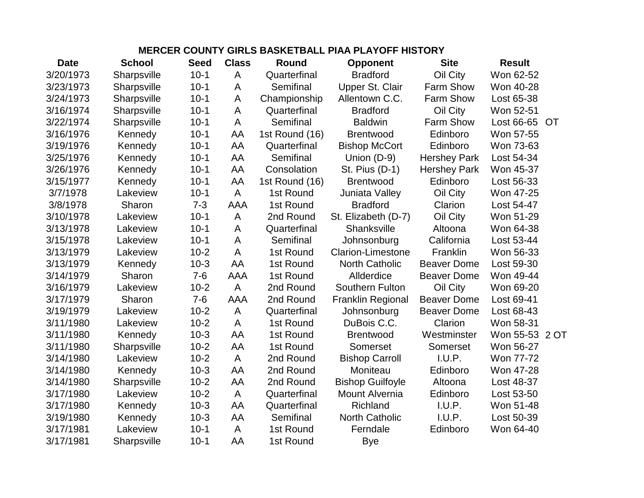## **MERCER COUNTY GIRLS BASKETBALL PIAA PLAYOFF HISTORY**

| <b>Date</b> | <b>School</b>      | <b>Seed</b> | <b>Class</b>   | Round          | <b>Opponent</b>          | <b>Site</b>         | <b>Result</b>  |    |
|-------------|--------------------|-------------|----------------|----------------|--------------------------|---------------------|----------------|----|
| 3/20/1973   | Sharpsville        | $10-1$      | A              | Quarterfinal   | <b>Bradford</b>          | Oil City            | Won 62-52      |    |
| 3/23/1973   | Sharpsville        | $10-1$      | A              | Semifinal      | Upper St. Clair          | Farm Show           | Won 40-28      |    |
| 3/24/1973   | Sharpsville        | $10-1$      | A              | Championship   | Allentown C.C.           | Farm Show           | Lost 65-38     |    |
| 3/16/1974   | Sharpsville        | $10-1$      | A              | Quarterfinal   | <b>Bradford</b>          | Oil City            | Won 52-51      |    |
| 3/22/1974   | Sharpsville        | $10-1$      | A              | Semifinal      | <b>Baldwin</b>           | Farm Show           | Lost 66-65     | OT |
| 3/16/1976   | Kennedy            | $10-1$      | AA             | 1st Round (16) | <b>Brentwood</b>         | Edinboro            | Won 57-55      |    |
| 3/19/1976   | Kennedy            | $10-1$      | AA             | Quarterfinal   | <b>Bishop McCort</b>     | Edinboro            | Won 73-63      |    |
| 3/25/1976   | Kennedy            | $10-1$      | AA             | Semifinal      | Union (D-9)              | <b>Hershey Park</b> | Lost 54-34     |    |
| 3/26/1976   | Kennedy            | $10-1$      | AA             | Consolation    | St. Pius (D-1)           | <b>Hershey Park</b> | Won 45-37      |    |
| 3/15/1977   | Kennedy            | $10-1$      | AA             | 1st Round (16) | <b>Brentwood</b>         | Edinboro            | Lost 56-33     |    |
| 3/7/1978    | Lakeview           | $10-1$      | A              | 1st Round      | Juniata Valley           | Oil City            | Won 47-25      |    |
| 3/8/1978    | Sharon             | $7 - 3$     | <b>AAA</b>     | 1st Round      | <b>Bradford</b>          | Clarion             | Lost 54-47     |    |
| 3/10/1978   | Lakeview           | $10-1$      | A              | 2nd Round      | St. Elizabeth (D-7)      | Oil City            | Won 51-29      |    |
| 3/13/1978   | Lakeview           | $10-1$      | A              | Quarterfinal   | Shanksville              | Altoona             | Won 64-38      |    |
| 3/15/1978   | Lakeview           | $10-1$      | A              | Semifinal      | Johnsonburg              | California          | Lost 53-44     |    |
| 3/13/1979   | Lakeview           | $10-2$      | A              | 1st Round      | <b>Clarion-Limestone</b> | Franklin            | Won 56-33      |    |
| 3/13/1979   | Kennedy            | $10-3$      | AA             | 1st Round      | <b>North Catholic</b>    | <b>Beaver Dome</b>  | Lost 59-30     |    |
| 3/14/1979   | Sharon             | $7 - 6$     | <b>AAA</b>     | 1st Round      | Allderdice               | <b>Beaver Dome</b>  | Won 49-44      |    |
| 3/16/1979   | Lakeview           | $10 - 2$    | A              | 2nd Round      | Southern Fulton          | Oil City            | Won 69-20      |    |
| 3/17/1979   | Sharon             | $7-6$       | <b>AAA</b>     | 2nd Round      | <b>Franklin Regional</b> | <b>Beaver Dome</b>  | Lost 69-41     |    |
| 3/19/1979   | Lakeview           | $10 - 2$    | A              | Quarterfinal   | Johnsonburg              | <b>Beaver Dome</b>  | Lost 68-43     |    |
| 3/11/1980   | Lakeview           | $10-2$      | A              | 1st Round      | DuBois C.C.              | Clarion             | Won 58-31      |    |
| 3/11/1980   | Kennedy            | $10-3$      | AA             | 1st Round      | <b>Brentwood</b>         | Westminster         | Won 55-53 2 OT |    |
| 3/11/1980   | Sharpsville        | $10-2$      | AA             | 1st Round      | Somerset                 | Somerset            | Won 56-27      |    |
| 3/14/1980   | Lakeview           | $10 - 2$    | A              | 2nd Round      | <b>Bishop Carroll</b>    | I.U.P.              | Won 77-72      |    |
| 3/14/1980   | Kennedy            | $10-3$      | AA             | 2nd Round      | Moniteau                 | Edinboro            | Won 47-28      |    |
| 3/14/1980   | Sharpsville        | $10 - 2$    | AA             | 2nd Round      | <b>Bishop Guilfoyle</b>  | Altoona             | Lost 48-37     |    |
| 3/17/1980   | Lakeview           | $10-2$      | $\mathsf{A}$   | Quarterfinal   | <b>Mount Alvernia</b>    | Edinboro            | Lost 53-50     |    |
| 3/17/1980   | Kennedy            | $10-3$      | AA             | Quarterfinal   | Richland                 | I.U.P.              | Won 51-48      |    |
| 3/19/1980   | Kennedy            | $10-3$      | AA             | Semifinal      | <b>North Catholic</b>    | I.U.P.              | Lost 50-39     |    |
| 3/17/1981   | Lakeview           | $10-1$      | $\overline{A}$ | 1st Round      | Ferndale                 | Edinboro            | Won 64-40      |    |
| 3/17/1981   | <b>Sharpsville</b> | $10 - 1$    | AA             | 1st Round      | Bye                      |                     |                |    |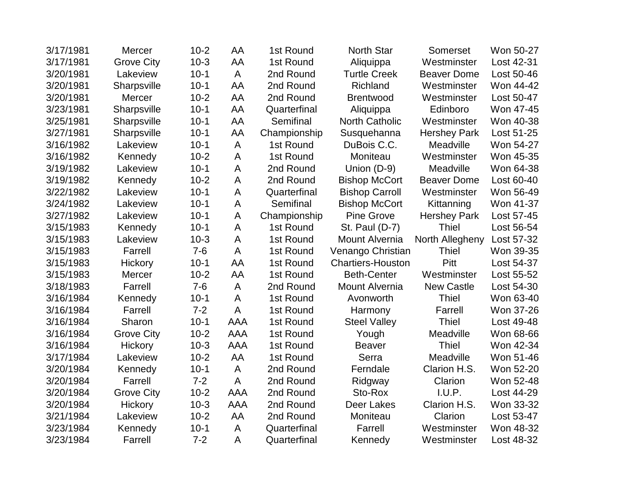| 3/17/1981 | <b>Mercer</b>     | $10 - 2$ | AA           | 1st Round    | <b>North Star</b>        | Somerset            | Won 50-27  |
|-----------|-------------------|----------|--------------|--------------|--------------------------|---------------------|------------|
| 3/17/1981 | <b>Grove City</b> | $10-3$   | AA           | 1st Round    | Aliquippa                | Westminster         | Lost 42-31 |
| 3/20/1981 | Lakeview          | $10-1$   | A            | 2nd Round    | <b>Turtle Creek</b>      | <b>Beaver Dome</b>  | Lost 50-46 |
| 3/20/1981 | Sharpsville       | $10-1$   | AA           | 2nd Round    | Richland                 | Westminster         | Won 44-42  |
| 3/20/1981 | Mercer            | $10-2$   | AA           | 2nd Round    | <b>Brentwood</b>         | Westminster         | Lost 50-47 |
| 3/23/1981 | Sharpsville       | $10-1$   | AA           | Quarterfinal | Aliquippa                | Edinboro            | Won 47-45  |
| 3/25/1981 | Sharpsville       | $10-1$   | AA           | Semifinal    | <b>North Catholic</b>    | Westminster         | Won 40-38  |
| 3/27/1981 | Sharpsville       | $10-1$   | AA           | Championship | Susquehanna              | <b>Hershey Park</b> | Lost 51-25 |
| 3/16/1982 | Lakeview          | $10 - 1$ | A            | 1st Round    | DuBois C.C.              | Meadville           | Won 54-27  |
| 3/16/1982 | Kennedy           | $10-2$   | $\mathsf A$  | 1st Round    | Moniteau                 | Westminster         | Won 45-35  |
| 3/19/1982 | Lakeview          | $10-1$   | A            | 2nd Round    | Union (D-9)              | Meadville           | Won 64-38  |
| 3/19/1982 | Kennedy           | $10-2$   | A            | 2nd Round    | <b>Bishop McCort</b>     | <b>Beaver Dome</b>  | Lost 60-40 |
| 3/22/1982 | Lakeview          | $10-1$   | A            | Quarterfinal | <b>Bishop Carroll</b>    | Westminster         | Won 56-49  |
| 3/24/1982 | Lakeview          | $10-1$   | A            | Semifinal    | <b>Bishop McCort</b>     | Kittanning          | Won 41-37  |
| 3/27/1982 | Lakeview          | $10-1$   | A            | Championship | <b>Pine Grove</b>        | <b>Hershey Park</b> | Lost 57-45 |
| 3/15/1983 | Kennedy           | $10-1$   | A            | 1st Round    | St. Paul (D-7)           | <b>Thiel</b>        | Lost 56-54 |
| 3/15/1983 | Lakeview          | $10-3$   | A            | 1st Round    | <b>Mount Alvernia</b>    | North Allegheny     | Lost 57-32 |
| 3/15/1983 | Farrell           | $7 - 6$  | A            | 1st Round    | Venango Christian        | <b>Thiel</b>        | Won 39-35  |
| 3/15/1983 | <b>Hickory</b>    | $10-1$   | AA           | 1st Round    | <b>Chartiers-Houston</b> | Pitt                | Lost 54-37 |
| 3/15/1983 | <b>Mercer</b>     | $10-2$   | AA           | 1st Round    | <b>Beth-Center</b>       | Westminster         | Lost 55-52 |
| 3/18/1983 | Farrell           | $7-6$    | $\mathsf{A}$ | 2nd Round    | <b>Mount Alvernia</b>    | <b>New Castle</b>   | Lost 54-30 |
| 3/16/1984 | Kennedy           | $10-1$   | A            | 1st Round    | Avonworth                | <b>Thiel</b>        | Won 63-40  |
| 3/16/1984 | Farrell           | $7 - 2$  | A            | 1st Round    | Harmony                  | Farrell             | Won 37-26  |
| 3/16/1984 | Sharon            | $10-1$   | AAA          | 1st Round    | <b>Steel Valley</b>      | <b>Thiel</b>        | Lost 49-48 |
| 3/16/1984 | <b>Grove City</b> | $10-2$   | <b>AAA</b>   | 1st Round    | Yough                    | Meadville           | Won 68-66  |
| 3/16/1984 | <b>Hickory</b>    | $10-3$   | <b>AAA</b>   | 1st Round    | <b>Beaver</b>            | <b>Thiel</b>        | Won 42-34  |
| 3/17/1984 | Lakeview          | $10-2$   | AA           | 1st Round    | Serra                    | Meadville           | Won 51-46  |
| 3/20/1984 | Kennedy           | $10-1$   | $\mathsf A$  | 2nd Round    | Ferndale                 | Clarion H.S.        | Won 52-20  |
| 3/20/1984 | Farrell           | $7 - 2$  | A            | 2nd Round    | Ridgway                  | Clarion             | Won 52-48  |
| 3/20/1984 | <b>Grove City</b> | $10-2$   | <b>AAA</b>   | 2nd Round    | Sto-Rox                  | I.U.P.              | Lost 44-29 |
| 3/20/1984 | Hickory           | $10-3$   | <b>AAA</b>   | 2nd Round    | Deer Lakes               | Clarion H.S.        | Won 33-32  |
| 3/21/1984 | Lakeview          | $10-2$   | AA           | 2nd Round    | Moniteau                 | Clarion             | Lost 53-47 |
| 3/23/1984 | Kennedy           | $10-1$   | A            | Quarterfinal | Farrell                  | Westminster         | Won 48-32  |
| 3/23/1984 | Farrell           | $7 - 2$  | A            | Quarterfinal | Kennedy                  | Westminster         | Lost 48-32 |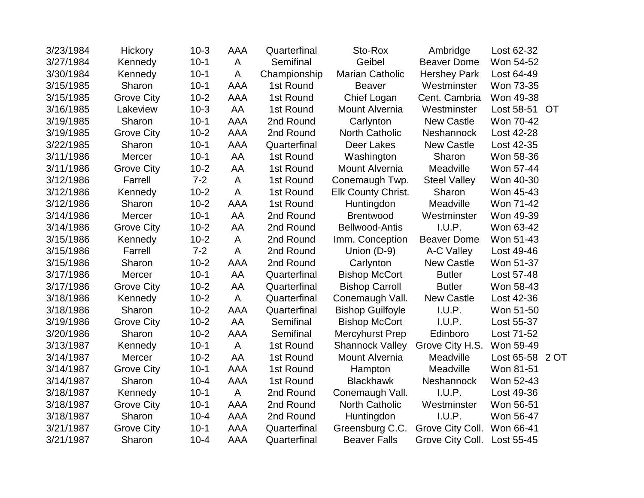| 3/23/1984 | Hickory           | $10-3$   | AAA        | Quarterfinal | Sto-Rox                   | Ambridge            | Lost 62-32      |           |
|-----------|-------------------|----------|------------|--------------|---------------------------|---------------------|-----------------|-----------|
| 3/27/1984 | Kennedy           | $10-1$   | A          | Semifinal    | Geibel                    | <b>Beaver Dome</b>  | Won 54-52       |           |
| 3/30/1984 | Kennedy           | $10-1$   | A          | Championship | <b>Marian Catholic</b>    | <b>Hershey Park</b> | Lost 64-49      |           |
| 3/15/1985 | Sharon            | $10-1$   | <b>AAA</b> | 1st Round    | <b>Beaver</b>             | Westminster         | Won 73-35       |           |
| 3/15/1985 | <b>Grove City</b> | $10 - 2$ | AAA        | 1st Round    | Chief Logan               | Cent. Cambria       | Won 49-38       |           |
| 3/16/1985 | Lakeview          | $10-3$   | AA         | 1st Round    | Mount Alvernia            | Westminster         | Lost 58-51      | <b>OT</b> |
| 3/19/1985 | Sharon            | $10-1$   | AAA        | 2nd Round    | Carlynton                 | <b>New Castle</b>   | Won 70-42       |           |
| 3/19/1985 | <b>Grove City</b> | $10-2$   | <b>AAA</b> | 2nd Round    | <b>North Catholic</b>     | Neshannock          | Lost 42-28      |           |
| 3/22/1985 | Sharon            | $10-1$   | <b>AAA</b> | Quarterfinal | Deer Lakes                | <b>New Castle</b>   | Lost 42-35      |           |
| 3/11/1986 | Mercer            | $10-1$   | AA         | 1st Round    | Washington                | Sharon              | Won 58-36       |           |
| 3/11/1986 | <b>Grove City</b> | $10 - 2$ | AA         | 1st Round    | Mount Alvernia            | Meadville           | Won 57-44       |           |
| 3/12/1986 | Farrell           | $7 - 2$  | A          | 1st Round    | Conemaugh Twp.            | <b>Steel Valley</b> | Won 40-30       |           |
| 3/12/1986 | Kennedy           | $10-2$   | A          | 1st Round    | <b>Elk County Christ.</b> | Sharon              | Won 45-43       |           |
| 3/12/1986 | Sharon            | $10-2$   | <b>AAA</b> | 1st Round    | Huntingdon                | Meadville           | Won 71-42       |           |
| 3/14/1986 | Mercer            | $10-1$   | AA         | 2nd Round    | <b>Brentwood</b>          | Westminster         | Won 49-39       |           |
| 3/14/1986 | <b>Grove City</b> | $10 - 2$ | AA         | 2nd Round    | <b>Bellwood-Antis</b>     | I.U.P.              | Won 63-42       |           |
| 3/15/1986 | Kennedy           | $10 - 2$ | A          | 2nd Round    | Imm. Conception           | <b>Beaver Dome</b>  | Won 51-43       |           |
| 3/15/1986 | Farrell           | $7 - 2$  | A          | 2nd Round    | Union (D-9)               | A-C Valley          | Lost 49-46      |           |
| 3/15/1986 | Sharon            | $10-2$   | <b>AAA</b> | 2nd Round    | Carlynton                 | <b>New Castle</b>   | Won 51-37       |           |
| 3/17/1986 | Mercer            | $10-1$   | AA         | Quarterfinal | <b>Bishop McCort</b>      | <b>Butler</b>       | Lost 57-48      |           |
| 3/17/1986 | <b>Grove City</b> | $10-2$   | AA         | Quarterfinal | <b>Bishop Carroll</b>     | <b>Butler</b>       | Won 58-43       |           |
| 3/18/1986 | Kennedy           | $10-2$   | A          | Quarterfinal | Conemaugh Vall.           | <b>New Castle</b>   | Lost 42-36      |           |
| 3/18/1986 | Sharon            | $10-2$   | AAA        | Quarterfinal | <b>Bishop Guilfoyle</b>   | I.U.P.              | Won 51-50       |           |
| 3/19/1986 | <b>Grove City</b> | $10-2$   | AA         | Semifinal    | <b>Bishop McCort</b>      | I.U.P.              | Lost 55-37      |           |
| 3/20/1986 | Sharon            | $10 - 2$ | <b>AAA</b> | Semifinal    | Mercyhurst Prep           | Edinboro            | Lost 71-52      |           |
| 3/13/1987 | Kennedy           | $10-1$   | A          | 1st Round    | <b>Shannock Valley</b>    | Grove City H.S.     | Won 59-49       |           |
| 3/14/1987 | Mercer            | $10-2$   | AA         | 1st Round    | Mount Alvernia            | Meadville           | Lost 65-58 2 OT |           |
| 3/14/1987 | <b>Grove City</b> | $10-1$   | <b>AAA</b> | 1st Round    | Hampton                   | Meadville           | Won 81-51       |           |
| 3/14/1987 | Sharon            | $10 - 4$ | <b>AAA</b> | 1st Round    | <b>Blackhawk</b>          | Neshannock          | Won 52-43       |           |
| 3/18/1987 | Kennedy           | $10-1$   | A          | 2nd Round    | Conemaugh Vall.           | I.U.P.              | Lost 49-36      |           |
| 3/18/1987 | <b>Grove City</b> | $10-1$   | <b>AAA</b> | 2nd Round    | <b>North Catholic</b>     | Westminster         | Won 56-51       |           |
| 3/18/1987 | Sharon            | $10 - 4$ | <b>AAA</b> | 2nd Round    | Huntingdon                | I.U.P.              | Won 56-47       |           |
| 3/21/1987 | <b>Grove City</b> | $10-1$   | <b>AAA</b> | Quarterfinal | Greensburg C.C.           | Grove City Coll.    | Won 66-41       |           |
| 3/21/1987 | Sharon            | $10 - 4$ | AAA        | Quarterfinal | <b>Beaver Falls</b>       | Grove City Coll.    | Lost 55-45      |           |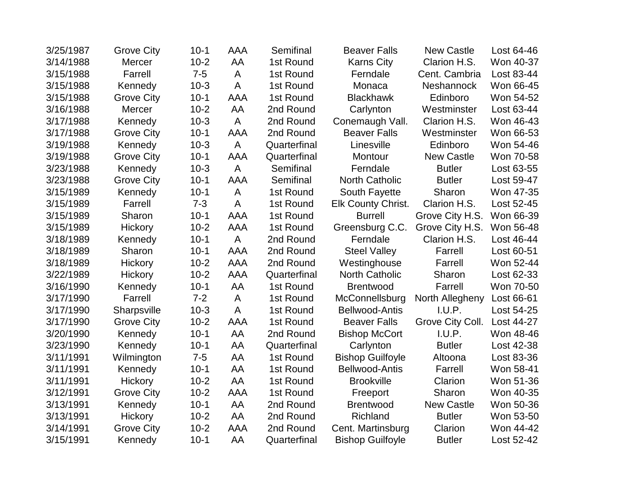| 3/25/1987 | <b>Grove City</b> | $10 - 1$ | AAA            | Semifinal    | <b>Beaver Falls</b>       | <b>New Castle</b> | Lost 64-46 |
|-----------|-------------------|----------|----------------|--------------|---------------------------|-------------------|------------|
| 3/14/1988 | Mercer            | $10-2$   | AA             | 1st Round    | <b>Karns City</b>         | Clarion H.S.      | Won 40-37  |
| 3/15/1988 | Farrell           | $7-5$    | A              | 1st Round    | Ferndale                  | Cent. Cambria     | Lost 83-44 |
| 3/15/1988 | Kennedy           | $10-3$   | A              | 1st Round    | Monaca                    | Neshannock        | Won 66-45  |
| 3/15/1988 | <b>Grove City</b> | $10-1$   | AAA            | 1st Round    | <b>Blackhawk</b>          | Edinboro          | Won 54-52  |
| 3/16/1988 | Mercer            | $10-2$   | AA             | 2nd Round    | Carlynton                 | Westminster       | Lost 63-44 |
| 3/17/1988 | Kennedy           | $10-3$   | A              | 2nd Round    | Conemaugh Vall.           | Clarion H.S.      | Won 46-43  |
| 3/17/1988 | <b>Grove City</b> | $10-1$   | AAA            | 2nd Round    | <b>Beaver Falls</b>       | Westminster       | Won 66-53  |
| 3/19/1988 | Kennedy           | $10-3$   | $\overline{A}$ | Quarterfinal | Linesville                | Edinboro          | Won 54-46  |
| 3/19/1988 | <b>Grove City</b> | $10-1$   | <b>AAA</b>     | Quarterfinal | Montour                   | <b>New Castle</b> | Won 70-58  |
| 3/23/1988 | Kennedy           | $10-3$   | A              | Semifinal    | Ferndale                  | <b>Butler</b>     | Lost 63-55 |
| 3/23/1988 | <b>Grove City</b> | $10-1$   | AAA            | Semifinal    | <b>North Catholic</b>     | <b>Butler</b>     | Lost 59-47 |
| 3/15/1989 | Kennedy           | $10-1$   | A              | 1st Round    | South Fayette             | Sharon            | Won 47-35  |
| 3/15/1989 | Farrell           | $7 - 3$  | A              | 1st Round    | <b>Elk County Christ.</b> | Clarion H.S.      | Lost 52-45 |
| 3/15/1989 | Sharon            | $10-1$   | <b>AAA</b>     | 1st Round    | <b>Burrell</b>            | Grove City H.S.   | Won 66-39  |
| 3/15/1989 | Hickory           | $10-2$   | <b>AAA</b>     | 1st Round    | Greensburg C.C.           | Grove City H.S.   | Won 56-48  |
| 3/18/1989 | Kennedy           | $10-1$   | $\mathsf{A}$   | 2nd Round    | Ferndale                  | Clarion H.S.      | Lost 46-44 |
| 3/18/1989 | Sharon            | $10-1$   | <b>AAA</b>     | 2nd Round    | <b>Steel Valley</b>       | Farrell           | Lost 60-51 |
| 3/18/1989 | Hickory           | $10 - 2$ | AAA            | 2nd Round    | Westinghouse              | Farrell           | Won 52-44  |
| 3/22/1989 | Hickory           | $10-2$   | AAA            | Quarterfinal | <b>North Catholic</b>     | Sharon            | Lost 62-33 |
| 3/16/1990 | Kennedy           | $10-1$   | AA             | 1st Round    | <b>Brentwood</b>          | Farrell           | Won 70-50  |
| 3/17/1990 | Farrell           | $7 - 2$  | A              | 1st Round    | McConnellsburg            | North Allegheny   | Lost 66-61 |
| 3/17/1990 | Sharpsville       | $10-3$   | A              | 1st Round    | <b>Bellwood-Antis</b>     | I.U.P.            | Lost 54-25 |
| 3/17/1990 | <b>Grove City</b> | $10-2$   | AAA            | 1st Round    | <b>Beaver Falls</b>       | Grove City Coll.  | Lost 44-27 |
| 3/20/1990 | Kennedy           | $10-1$   | AA             | 2nd Round    | <b>Bishop McCort</b>      | I.U.P.            | Won 48-46  |
| 3/23/1990 | Kennedy           | $10-1$   | AA             | Quarterfinal | Carlynton                 | <b>Butler</b>     | Lost 42-38 |
| 3/11/1991 | Wilmington        | $7-5$    | AA             | 1st Round    | <b>Bishop Guilfoyle</b>   | Altoona           | Lost 83-36 |
| 3/11/1991 | Kennedy           | $10-1$   | AA             | 1st Round    | <b>Bellwood-Antis</b>     | Farrell           | Won 58-41  |
| 3/11/1991 | Hickory           | $10-2$   | AA             | 1st Round    | <b>Brookville</b>         | Clarion           | Won 51-36  |
| 3/12/1991 | <b>Grove City</b> | $10-2$   | <b>AAA</b>     | 1st Round    | Freeport                  | Sharon            | Won 40-35  |
| 3/13/1991 | Kennedy           | $10-1$   | AA             | 2nd Round    | <b>Brentwood</b>          | <b>New Castle</b> | Won 50-36  |
| 3/13/1991 | Hickory           | $10-2$   | AA             | 2nd Round    | Richland                  | <b>Butler</b>     | Won 53-50  |
| 3/14/1991 | <b>Grove City</b> | $10-2$   | AAA            | 2nd Round    | Cent. Martinsburg         | Clarion           | Won 44-42  |
| 3/15/1991 | Kennedy           | $10-1$   | AA             | Quarterfinal | <b>Bishop Guilfoyle</b>   | <b>Butler</b>     | Lost 52-42 |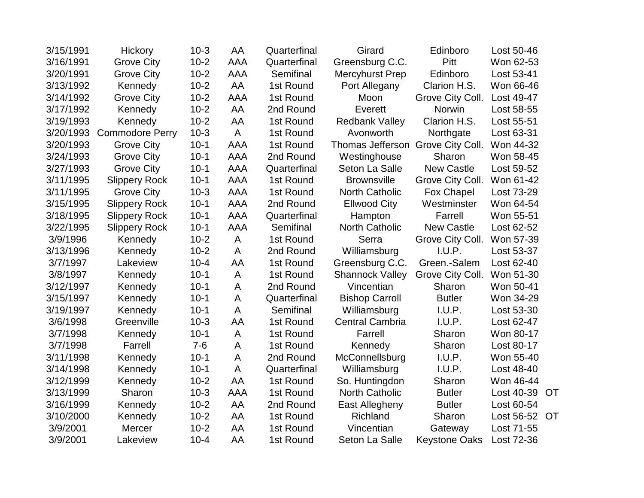| 3/15/1991 | Hickory                | $10-3$   | AA           | Quarterfinal | Girard                 | Edinboro             | Lost 50-46 |           |
|-----------|------------------------|----------|--------------|--------------|------------------------|----------------------|------------|-----------|
| 3/16/1991 | <b>Grove City</b>      | $10-2$   | <b>AAA</b>   | Quarterfinal | Greensburg C.C.        | Pitt                 | Won 62-53  |           |
| 3/20/1991 | <b>Grove City</b>      | $10-2$   | <b>AAA</b>   | Semifinal    | Mercyhurst Prep        | Edinboro             | Lost 53-41 |           |
| 3/13/1992 | Kennedy                | $10-2$   | AA           | 1st Round    | Port Allegany          | Clarion H.S.         | Won 66-46  |           |
| 3/14/1992 | <b>Grove City</b>      | $10-2$   | <b>AAA</b>   | 1st Round    | Moon                   | Grove City Coll.     | Lost 49-47 |           |
| 3/17/1992 | Kennedy                | $10-2$   | AA           | 2nd Round    | Everett                | Norwin               | Lost 58-55 |           |
| 3/19/1993 | Kennedy                | $10-2$   | AA           | 1st Round    | <b>Redbank Valley</b>  | Clarion H.S.         | Lost 55-51 |           |
| 3/20/1993 | <b>Commodore Perry</b> | $10-3$   | A            | 1st Round    | Avonworth              | Northgate            | Lost 63-31 |           |
| 3/20/1993 | <b>Grove City</b>      | $10-1$   | AAA          | 1st Round    | Thomas Jefferson       | Grove City Coll.     | Won 44-32  |           |
| 3/24/1993 | <b>Grove City</b>      | $10-1$   | AAA          | 2nd Round    | Westinghouse           | Sharon               | Won 58-45  |           |
| 3/27/1993 | <b>Grove City</b>      | $10-1$   | AAA          | Quarterfinal | Seton La Salle         | <b>New Castle</b>    | Lost 59-52 |           |
| 3/11/1995 | <b>Slippery Rock</b>   | $10-1$   | <b>AAA</b>   | 1st Round    | <b>Brownsville</b>     | Grove City Coll.     | Won 61-42  |           |
| 3/11/1995 | <b>Grove City</b>      | $10-3$   | <b>AAA</b>   | 1st Round    | <b>North Catholic</b>  | Fox Chapel           | Lost 73-29 |           |
| 3/15/1995 | <b>Slippery Rock</b>   | $10-1$   | <b>AAA</b>   | 2nd Round    | <b>Ellwood City</b>    | Westminster          | Won 64-54  |           |
| 3/18/1995 | <b>Slippery Rock</b>   | $10-1$   | <b>AAA</b>   | Quarterfinal | Hampton                | Farrell              | Won 55-51  |           |
| 3/22/1995 | <b>Slippery Rock</b>   | $10-1$   | <b>AAA</b>   | Semifinal    | <b>North Catholic</b>  | <b>New Castle</b>    | Lost 62-52 |           |
| 3/9/1996  | Kennedy                | $10-2$   | A            | 1st Round    | Serra                  | Grove City Coll.     | Won 57-39  |           |
| 3/13/1996 | Kennedy                | $10-2$   | A            | 2nd Round    | Williamsburg           | I.U.P.               | Lost 53-37 |           |
| 3/7/1997  | Lakeview               | $10 - 4$ | AA           | 1st Round    | Greensburg C.C.        | Green.-Salem         | Lost 62-40 |           |
| 3/8/1997  | Kennedy                | $10-1$   | A            | 1st Round    | <b>Shannock Valley</b> | Grove City Coll.     | Won 51-30  |           |
| 3/12/1997 | Kennedy                | $10-1$   | A            | 2nd Round    | Vincentian             | Sharon               | Won 50-41  |           |
| 3/15/1997 | Kennedy                | $10-1$   | A            | Quarterfinal | <b>Bishop Carroll</b>  | <b>Butler</b>        | Won 34-29  |           |
| 3/19/1997 | Kennedy                | $10-1$   | A            | Semifinal    | Williamsburg           | I.U.P.               | Lost 53-30 |           |
| 3/6/1998  | Greenville             | $10-3$   | AA           | 1st Round    | <b>Central Cambria</b> | I.U.P.               | Lost 62-47 |           |
| 3/7/1998  | Kennedy                | $10-1$   | A            | 1st Round    | Farrell                | Sharon               | Won 80-17  |           |
| 3/7/1998  | Farrell                | $7 - 6$  | A            | 1st Round    | Kennedy                | Sharon               | Lost 80-17 |           |
| 3/11/1998 | Kennedy                | $10-1$   | A            | 2nd Round    | McConnellsburg         | I.U.P.               | Won 55-40  |           |
| 3/14/1998 | Kennedy                | $10-1$   | $\mathsf{A}$ | Quarterfinal | Williamsburg           | I.U.P.               | Lost 48-40 |           |
| 3/12/1999 | Kennedy                | $10-2$   | AA           | 1st Round    | So. Huntingdon         | Sharon               | Won 46-44  |           |
| 3/13/1999 | Sharon                 | $10-3$   | <b>AAA</b>   | 1st Round    | <b>North Catholic</b>  | <b>Butler</b>        | Lost 40-39 | <b>OT</b> |
| 3/16/1999 | Kennedy                | $10-2$   | AA           | 2nd Round    | East Allegheny         | <b>Butler</b>        | Lost 60-54 |           |
| 3/10/2000 | Kennedy                | $10-2$   | AA           | 1st Round    | Richland               | Sharon               | Lost 56-52 | <b>OT</b> |
| 3/9/2001  | Mercer                 | $10-2$   | AA           | 1st Round    | Vincentian             | Gateway              | Lost 71-55 |           |
| 3/9/2001  | Lakeview               | $10 - 4$ | AA           | 1st Round    | Seton La Salle         | <b>Keystone Oaks</b> | Lost 72-36 |           |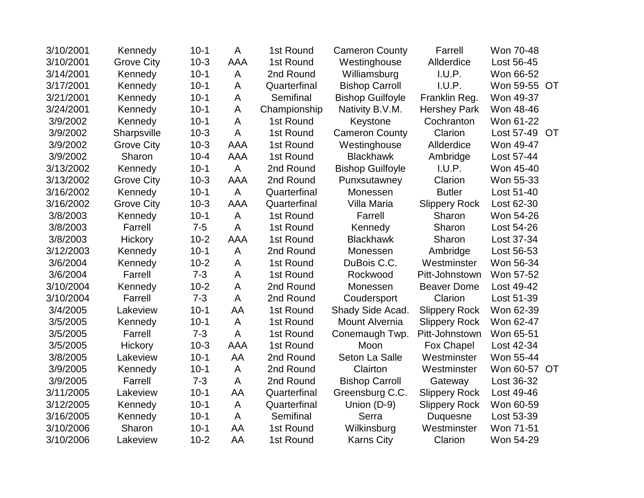| 3/10/2001 | Kennedy           | $10-1$   | A              | 1st Round    | <b>Cameron County</b>   | Farrell              | Won 70-48    |    |
|-----------|-------------------|----------|----------------|--------------|-------------------------|----------------------|--------------|----|
| 3/10/2001 | <b>Grove City</b> | $10-3$   | AAA            | 1st Round    | Westinghouse            | Allderdice           | Lost 56-45   |    |
| 3/14/2001 | Kennedy           | $10-1$   | A              | 2nd Round    | Williamsburg            | I.U.P.               | Won 66-52    |    |
| 3/17/2001 | Kennedy           | $10-1$   | A              | Quarterfinal | <b>Bishop Carroll</b>   | I.U.P.               | Won 59-55 OT |    |
| 3/21/2001 | Kennedy           | $10-1$   | A              | Semifinal    | <b>Bishop Guilfoyle</b> | Franklin Reg.        | Won 49-37    |    |
| 3/24/2001 | Kennedy           | $10-1$   | A              | Championship | Nativity B.V.M.         | <b>Hershey Park</b>  | Won 48-46    |    |
| 3/9/2002  | Kennedy           | $10-1$   | A              | 1st Round    | Keystone                | Cochranton           | Won 61-22    |    |
| 3/9/2002  | Sharpsville       | $10-3$   | A              | 1st Round    | <b>Cameron County</b>   | Clarion              | Lost 57-49   | OT |
| 3/9/2002  | <b>Grove City</b> | $10-3$   | <b>AAA</b>     | 1st Round    | Westinghouse            | Allderdice           | Won 49-47    |    |
| 3/9/2002  | Sharon            | $10 - 4$ | <b>AAA</b>     | 1st Round    | <b>Blackhawk</b>        | Ambridge             | Lost 57-44   |    |
| 3/13/2002 | Kennedy           | $10-1$   | A              | 2nd Round    | <b>Bishop Guilfoyle</b> | I.U.P.               | Won 45-40    |    |
| 3/13/2002 | <b>Grove City</b> | $10-3$   | AAA            | 2nd Round    | Punxsutawney            | Clarion              | Won 55-33    |    |
| 3/16/2002 | Kennedy           | $10-1$   | $\overline{A}$ | Quarterfinal | Monessen                | <b>Butler</b>        | Lost 51-40   |    |
| 3/16/2002 | <b>Grove City</b> | $10-3$   | AAA            | Quarterfinal | Villa Maria             | <b>Slippery Rock</b> | Lost 62-30   |    |
| 3/8/2003  | Kennedy           | $10-1$   | A              | 1st Round    | Farrell                 | Sharon               | Won 54-26    |    |
| 3/8/2003  | Farrell           | $7 - 5$  | A              | 1st Round    | Kennedy                 | Sharon               | Lost 54-26   |    |
| 3/8/2003  | Hickory           | $10 - 2$ | <b>AAA</b>     | 1st Round    | <b>Blackhawk</b>        | Sharon               | Lost 37-34   |    |
| 3/12/2003 | Kennedy           | $10-1$   | A              | 2nd Round    | Monessen                | Ambridge             | Lost 56-53   |    |
| 3/6/2004  | Kennedy           | $10-2$   | A              | 1st Round    | DuBois C.C.             | Westminster          | Won 56-34    |    |
| 3/6/2004  | Farrell           | $7 - 3$  | A              | 1st Round    | Rockwood                | Pitt-Johnstown       | Won 57-52    |    |
| 3/10/2004 | Kennedy           | $10 - 2$ | A              | 2nd Round    | Monessen                | <b>Beaver Dome</b>   | Lost 49-42   |    |
| 3/10/2004 | Farrell           | $7 - 3$  | A              | 2nd Round    | Coudersport             | Clarion              | Lost 51-39   |    |
| 3/4/2005  | Lakeview          | $10-1$   | AA             | 1st Round    | Shady Side Acad.        | <b>Slippery Rock</b> | Won 62-39    |    |
| 3/5/2005  | Kennedy           | $10-1$   | A              | 1st Round    | Mount Alvernia          | <b>Slippery Rock</b> | Won 62-47    |    |
| 3/5/2005  | Farrell           | $7 - 3$  | A              | 1st Round    | Conemaugh Twp.          | Pitt-Johnstown       | Won 65-51    |    |
| 3/5/2005  | Hickory           | $10-3$   | <b>AAA</b>     | 1st Round    | Moon                    | Fox Chapel           | Lost 42-34   |    |
| 3/8/2005  | Lakeview          | $10-1$   | AA             | 2nd Round    | Seton La Salle          | Westminster          | Won 55-44    |    |
| 3/9/2005  | Kennedy           | $10-1$   | A              | 2nd Round    | Clairton                | Westminster          | Won 60-57 OT |    |
| 3/9/2005  | Farrell           | $7 - 3$  | A              | 2nd Round    | <b>Bishop Carroll</b>   | Gateway              | Lost 36-32   |    |
| 3/11/2005 | Lakeview          | $10-1$   | AA             | Quarterfinal | Greensburg C.C.         | <b>Slippery Rock</b> | Lost 49-46   |    |
| 3/12/2005 | Kennedy           | $10-1$   | A              | Quarterfinal | Union (D-9)             | <b>Slippery Rock</b> | Won 60-59    |    |
| 3/16/2005 | Kennedy           | $10-1$   | A              | Semifinal    | Serra                   | <b>Duquesne</b>      | Lost 53-39   |    |
| 3/10/2006 | Sharon            | $10-1$   | AA             | 1st Round    | Wilkinsburg             | Westminster          | Won 71-51    |    |
| 3/10/2006 | Lakeview          | $10 - 2$ | AA             | 1st Round    | <b>Karns City</b>       | Clarion              | Won 54-29    |    |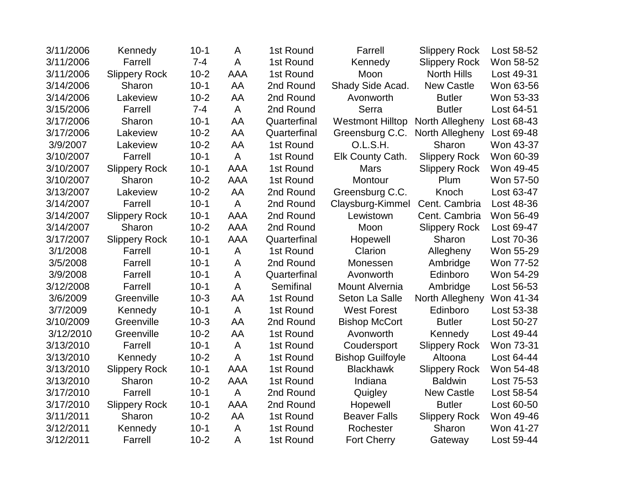| 3/11/2006 | Kennedy              | $10-1$   | A              | 1st Round    | Farrell                 | <b>Slippery Rock</b> | Lost 58-52 |
|-----------|----------------------|----------|----------------|--------------|-------------------------|----------------------|------------|
| 3/11/2006 | Farrell              | $7 - 4$  | A              | 1st Round    | Kennedy                 | <b>Slippery Rock</b> | Won 58-52  |
| 3/11/2006 | <b>Slippery Rock</b> | $10 - 2$ | AAA            | 1st Round    | Moon                    | <b>North Hills</b>   | Lost 49-31 |
| 3/14/2006 | Sharon               | $10-1$   | AA             | 2nd Round    | Shady Side Acad.        | <b>New Castle</b>    | Won 63-56  |
| 3/14/2006 | Lakeview             | $10-2$   | AA             | 2nd Round    | Avonworth               | <b>Butler</b>        | Won 53-33  |
| 3/15/2006 | Farrell              | $7 - 4$  | A              | 2nd Round    | Serra                   | <b>Butler</b>        | Lost 64-51 |
| 3/17/2006 | Sharon               | $10-1$   | AA             | Quarterfinal | <b>Westmont Hilltop</b> | North Allegheny      | Lost 68-43 |
| 3/17/2006 | Lakeview             | $10 - 2$ | AA             | Quarterfinal | Greensburg C.C.         | North Allegheny      | Lost 69-48 |
| 3/9/2007  | Lakeview             | $10-2$   | AA             | 1st Round    | O.L.S.H.                | Sharon               | Won 43-37  |
| 3/10/2007 | Farrell              | $10-1$   | $\overline{A}$ | 1st Round    | Elk County Cath.        | <b>Slippery Rock</b> | Won 60-39  |
| 3/10/2007 | <b>Slippery Rock</b> | $10-1$   | <b>AAA</b>     | 1st Round    | <b>Mars</b>             | <b>Slippery Rock</b> | Won 49-45  |
| 3/10/2007 | Sharon               | $10-2$   | <b>AAA</b>     | 1st Round    | Montour                 | Plum                 | Won 57-50  |
| 3/13/2007 | Lakeview             | $10 - 2$ | AA             | 2nd Round    | Greensburg C.C.         | Knoch                | Lost 63-47 |
| 3/14/2007 | Farrell              | $10-1$   | A              | 2nd Round    | Claysburg-Kimmel        | Cent. Cambria        | Lost 48-36 |
| 3/14/2007 | <b>Slippery Rock</b> | $10-1$   | <b>AAA</b>     | 2nd Round    | Lewistown               | Cent. Cambria        | Won 56-49  |
| 3/14/2007 | Sharon               | $10 - 2$ | <b>AAA</b>     | 2nd Round    | Moon                    | <b>Slippery Rock</b> | Lost 69-47 |
| 3/17/2007 | <b>Slippery Rock</b> | $10-1$   | <b>AAA</b>     | Quarterfinal | Hopewell                | Sharon               | Lost 70-36 |
| 3/1/2008  | Farrell              | $10-1$   | $\overline{A}$ | 1st Round    | Clarion                 | Allegheny            | Won 55-29  |
| 3/5/2008  | Farrell              | $10-1$   | A              | 2nd Round    | Monessen                | Ambridge             | Won 77-52  |
| 3/9/2008  | Farrell              | $10-1$   | A              | Quarterfinal | Avonworth               | Edinboro             | Won 54-29  |
| 3/12/2008 | Farrell              | $10-1$   | A              | Semifinal    | <b>Mount Alvernia</b>   | Ambridge             | Lost 56-53 |
| 3/6/2009  | Greenville           | $10-3$   | AA             | 1st Round    | Seton La Salle          | North Allegheny      | Won 41-34  |
| 3/7/2009  | Kennedy              | $10-1$   | $\overline{A}$ | 1st Round    | <b>West Forest</b>      | Edinboro             | Lost 53-38 |
| 3/10/2009 | Greenville           | $10-3$   | AA             | 2nd Round    | <b>Bishop McCort</b>    | <b>Butler</b>        | Lost 50-27 |
| 3/12/2010 | Greenville           | $10-2$   | AA             | 1st Round    | Avonworth               | Kennedy              | Lost 49-44 |
| 3/13/2010 | Farrell              | $10-1$   | A              | 1st Round    | Coudersport             | <b>Slippery Rock</b> | Won 73-31  |
| 3/13/2010 | Kennedy              | $10-2$   | A              | 1st Round    | <b>Bishop Guilfoyle</b> | Altoona              | Lost 64-44 |
| 3/13/2010 | <b>Slippery Rock</b> | $10-1$   | <b>AAA</b>     | 1st Round    | <b>Blackhawk</b>        | <b>Slippery Rock</b> | Won 54-48  |
| 3/13/2010 | Sharon               | $10-2$   | <b>AAA</b>     | 1st Round    | Indiana                 | <b>Baldwin</b>       | Lost 75-53 |
| 3/17/2010 | Farrell              | $10-1$   | $\overline{A}$ | 2nd Round    | Quigley                 | <b>New Castle</b>    | Lost 58-54 |
| 3/17/2010 | <b>Slippery Rock</b> | $10-1$   | <b>AAA</b>     | 2nd Round    | Hopewell                | <b>Butler</b>        | Lost 60-50 |
| 3/11/2011 | Sharon               | $10-2$   | AA             | 1st Round    | <b>Beaver Falls</b>     | <b>Slippery Rock</b> | Won 49-46  |
| 3/12/2011 | Kennedy              | $10-1$   | A              | 1st Round    | Rochester               | Sharon               | Won 41-27  |
| 3/12/2011 | Farrell              | $10-2$   | A              | 1st Round    | Fort Cherry             | Gateway              | Lost 59-44 |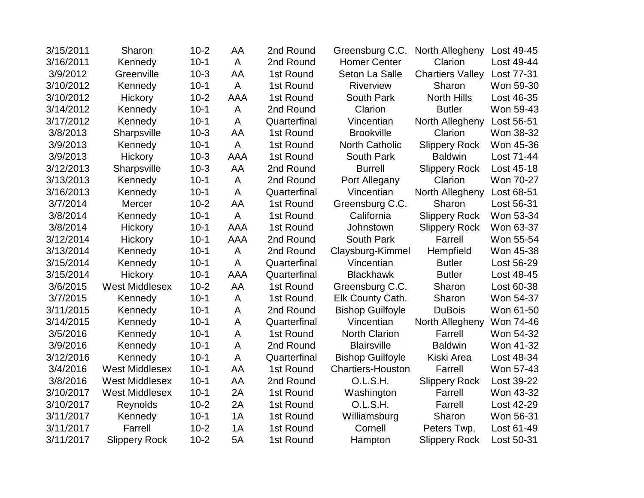| 3/15/2011 | Sharon                | $10-2$   | AA           | 2nd Round    | Greensburg C.C.          | North Allegheny         | Lost 49-45 |
|-----------|-----------------------|----------|--------------|--------------|--------------------------|-------------------------|------------|
| 3/16/2011 | Kennedy               | $10-1$   | A            | 2nd Round    | <b>Homer Center</b>      | Clarion                 | Lost 49-44 |
| 3/9/2012  | Greenville            | $10-3$   | AA           | 1st Round    | Seton La Salle           | <b>Chartiers Valley</b> | Lost 77-31 |
| 3/10/2012 | Kennedy               | $10-1$   | A            | 1st Round    | Riverview                | Sharon                  | Won 59-30  |
| 3/10/2012 | Hickory               | $10 - 2$ | <b>AAA</b>   | 1st Round    | South Park               | <b>North Hills</b>      | Lost 46-35 |
| 3/14/2012 | Kennedy               | $10-1$   | A            | 2nd Round    | Clarion                  | <b>Butler</b>           | Won 59-43  |
| 3/17/2012 | Kennedy               | $10-1$   | A            | Quarterfinal | Vincentian               | North Allegheny         | Lost 56-51 |
| 3/8/2013  | Sharpsville           | $10-3$   | AA           | 1st Round    | <b>Brookville</b>        | Clarion                 | Won 38-32  |
| 3/9/2013  | Kennedy               | $10-1$   | $\mathsf{A}$ | 1st Round    | <b>North Catholic</b>    | <b>Slippery Rock</b>    | Won 45-36  |
| 3/9/2013  | Hickory               | $10-3$   | <b>AAA</b>   | 1st Round    | South Park               | <b>Baldwin</b>          | Lost 71-44 |
| 3/12/2013 | Sharpsville           | $10-3$   | AA           | 2nd Round    | <b>Burrell</b>           | <b>Slippery Rock</b>    | Lost 45-18 |
| 3/13/2013 | Kennedy               | $10-1$   | A            | 2nd Round    | Port Allegany            | Clarion                 | Won 70-27  |
| 3/16/2013 | Kennedy               | $10-1$   | A            | Quarterfinal | Vincentian               | North Allegheny         | Lost 68-51 |
| 3/7/2014  | Mercer                | $10-2$   | AA           | 1st Round    | Greensburg C.C.          | Sharon                  | Lost 56-31 |
| 3/8/2014  | Kennedy               | $10-1$   | A            | 1st Round    | California               | <b>Slippery Rock</b>    | Won 53-34  |
| 3/8/2014  | Hickory               | $10-1$   | <b>AAA</b>   | 1st Round    | Johnstown                | <b>Slippery Rock</b>    | Won 63-37  |
| 3/12/2014 | Hickory               | $10-1$   | <b>AAA</b>   | 2nd Round    | South Park               | Farrell                 | Won 55-54  |
| 3/13/2014 | Kennedy               | $10-1$   | A            | 2nd Round    | Claysburg-Kimmel         | Hempfield               | Won 45-38  |
| 3/15/2014 | Kennedy               | $10-1$   | A            | Quarterfinal | Vincentian               | <b>Butler</b>           | Lost 56-29 |
| 3/15/2014 | Hickory               | $10-1$   | <b>AAA</b>   | Quarterfinal | <b>Blackhawk</b>         | <b>Butler</b>           | Lost 48-45 |
| 3/6/2015  | <b>West Middlesex</b> | $10-2$   | AA           | 1st Round    | Greensburg C.C.          | Sharon                  | Lost 60-38 |
| 3/7/2015  | Kennedy               | $10-1$   | A            | 1st Round    | Elk County Cath.         | Sharon                  | Won 54-37  |
| 3/11/2015 | Kennedy               | $10-1$   | A            | 2nd Round    | <b>Bishop Guilfoyle</b>  | <b>DuBois</b>           | Won 61-50  |
| 3/14/2015 | Kennedy               | $10 - 1$ | A            | Quarterfinal | Vincentian               | North Allegheny         | Won 74-46  |
| 3/5/2016  | Kennedy               | $10-1$   | A            | 1st Round    | <b>North Clarion</b>     | Farrell                 | Won 54-32  |
| 3/9/2016  | Kennedy               | $10-1$   | A            | 2nd Round    | <b>Blairsville</b>       | <b>Baldwin</b>          | Won 41-32  |
| 3/12/2016 | Kennedy               | $10 - 1$ | A            | Quarterfinal | <b>Bishop Guilfoyle</b>  | Kiski Area              | Lost 48-34 |
| 3/4/2016  | <b>West Middlesex</b> | $10-1$   | AA           | 1st Round    | <b>Chartiers-Houston</b> | Farrell                 | Won 57-43  |
| 3/8/2016  | <b>West Middlesex</b> | $10 - 1$ | AA           | 2nd Round    | O.L.S.H.                 | <b>Slippery Rock</b>    | Lost 39-22 |
| 3/10/2017 | <b>West Middlesex</b> | $10 - 1$ | 2A           | 1st Round    | Washington               | Farrell                 | Won 43-32  |
| 3/10/2017 | Reynolds              | $10-2$   | 2A           | 1st Round    | O.L.S.H.                 | Farrell                 | Lost 42-29 |
| 3/11/2017 | Kennedy               | $10-1$   | 1A           | 1st Round    | Williamsburg             | Sharon                  | Won 56-31  |
| 3/11/2017 | Farrell               | $10-2$   | 1A           | 1st Round    | Cornell                  | Peters Twp.             | Lost 61-49 |
| 3/11/2017 | <b>Slippery Rock</b>  | $10-2$   | 5A           | 1st Round    | Hampton                  | <b>Slippery Rock</b>    | Lost 50-31 |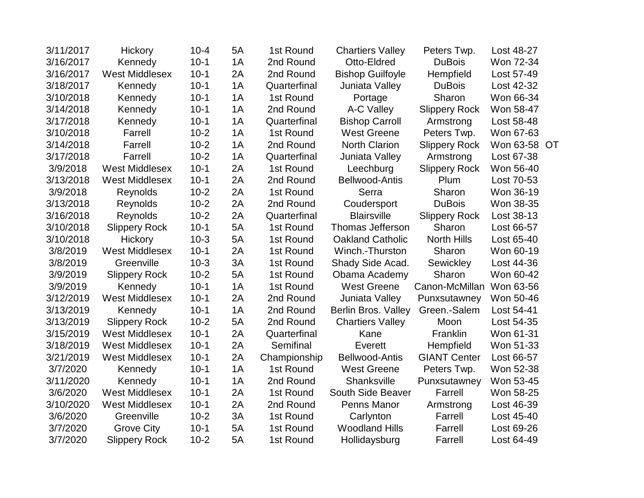| 3/11/2017 | Hickory               | $10 - 4$ | 5A | 1st Round    | <b>Chartiers Valley</b> | Peters Twp.          | Lost 48-27 |    |
|-----------|-----------------------|----------|----|--------------|-------------------------|----------------------|------------|----|
| 3/16/2017 | Kennedy               | $10 - 1$ | 1A | 2nd Round    | Otto-Eldred             | <b>DuBois</b>        | Won 72-34  |    |
| 3/16/2017 | <b>West Middlesex</b> | $10 - 1$ | 2A | 2nd Round    | <b>Bishop Guilfoyle</b> | Hempfield            | Lost 57-49 |    |
| 3/18/2017 | Kennedy               | $10-1$   | 1A | Quarterfinal | Juniata Valley          | <b>DuBois</b>        | Lost 42-32 |    |
| 3/10/2018 | Kennedy               | $10-1$   | 1A | 1st Round    | Portage                 | Sharon               | Won 66-34  |    |
| 3/14/2018 | Kennedy               | $10-1$   | 1A | 2nd Round    | A-C Valley              | <b>Slippery Rock</b> | Won 58-47  |    |
| 3/17/2018 | Kennedy               | $10 - 1$ | 1A | Quarterfinal | <b>Bishop Carroll</b>   | Armstrong            | Lost 58-48 |    |
| 3/10/2018 | Farrell               | $10-2$   | 1A | 1st Round    | <b>West Greene</b>      | Peters Twp.          | Won 67-63  |    |
| 3/14/2018 | Farrell               | $10-2$   | 1A | 2nd Round    | <b>North Clarion</b>    | <b>Slippery Rock</b> | Won 63-58  | OT |
| 3/17/2018 | Farrell               | $10-2$   | 1A | Quarterfinal | Juniata Valley          | Armstrong            | Lost 67-38 |    |
| 3/9/2018  | <b>West Middlesex</b> | $10-1$   | 2A | 1st Round    | Leechburg               | <b>Slippery Rock</b> | Won 56-40  |    |
| 3/13/2018 | <b>West Middlesex</b> | $10-1$   | 2A | 2nd Round    | <b>Bellwood-Antis</b>   | Plum                 | Lost 70-53 |    |
| 3/9/2018  | Reynolds              | $10-2$   | 2A | 1st Round    | Serra                   | Sharon               | Won 36-19  |    |
| 3/13/2018 | Reynolds              | $10-2$   | 2A | 2nd Round    | Coudersport             | <b>DuBois</b>        | Won 38-35  |    |
| 3/16/2018 | Reynolds              | $10-2$   | 2A | Quarterfinal | <b>Blairsville</b>      | <b>Slippery Rock</b> | Lost 38-13 |    |
| 3/10/2018 | <b>Slippery Rock</b>  | $10-1$   | 5A | 1st Round    | <b>Thomas Jefferson</b> | Sharon               | Lost 66-57 |    |
| 3/10/2018 | Hickory               | $10-3$   | 5A | 1st Round    | <b>Oakland Catholic</b> | <b>North Hills</b>   | Lost 65-40 |    |
| 3/8/2019  | <b>West Middlesex</b> | $10 - 1$ | 2A | 1st Round    | Winch.-Thurston         | Sharon               | Won 60-19  |    |
| 3/8/2019  | Greenville            | $10-3$   | 3A | 1st Round    | Shady Side Acad.        | Sewickley            | Lost 44-36 |    |
| 3/9/2019  | <b>Slippery Rock</b>  | $10-2$   | 5A | 1st Round    | Obama Academy           | Sharon               | Won 60-42  |    |
| 3/9/2019  | Kennedy               | $10-1$   | 1A | 1st Round    | <b>West Greene</b>      | Canon-McMillan       | Won 63-56  |    |
| 3/12/2019 | <b>West Middlesex</b> | $10-1$   | 2A | 2nd Round    | Juniata Valley          | Punxsutawney         | Won 50-46  |    |
| 3/13/2019 | Kennedy               | $10-1$   | 1A | 2nd Round    | Berlin Bros. Valley     | Green.-Salem         | Lost 54-41 |    |
| 3/13/2019 | <b>Slippery Rock</b>  | $10-2$   | 5A | 2nd Round    | <b>Chartiers Valley</b> | Moon                 | Lost 54-35 |    |
| 3/15/2019 | <b>West Middlesex</b> | $10 - 1$ | 2A | Quarterfinal | Kane                    | Franklin             | Won 61-31  |    |
| 3/18/2019 | <b>West Middlesex</b> | $10 - 1$ | 2A | Semifinal    | Everett                 | Hempfield            | Won 51-33  |    |
| 3/21/2019 | <b>West Middlesex</b> | $10 - 1$ | 2A | Championship | <b>Bellwood-Antis</b>   | <b>GIANT Center</b>  | Lost 66-57 |    |
| 3/7/2020  | Kennedy               | $10 - 1$ | 1A | 1st Round    | <b>West Greene</b>      | Peters Twp.          | Won 52-38  |    |
| 3/11/2020 | Kennedy               | $10-1$   | 1A | 2nd Round    | Shanksville             | Punxsutawney         | Won 53-45  |    |
| 3/6/2020  | <b>West Middlesex</b> | $10 - 1$ | 2A | 1st Round    | South Side Beaver       | Farrell              | Won 58-25  |    |
| 3/10/2020 | <b>West Middlesex</b> | $10-1$   | 2A | 2nd Round    | Penns Manor             | Armstrong            | Lost 46-39 |    |
| 3/6/2020  | Greenville            | $10-2$   | 3A | 1st Round    | Carlynton               | Farrell              | Lost 45-40 |    |
| 3/7/2020  | <b>Grove City</b>     | $10-1$   | 5A | 1st Round    | <b>Woodland Hills</b>   | Farrell              | Lost 69-26 |    |
| 3/7/2020  | <b>Slippery Rock</b>  | $10-2$   | 5A | 1st Round    | Hollidaysburg           | Farrell              | Lost 64-49 |    |
|           |                       |          |    |              |                         |                      |            |    |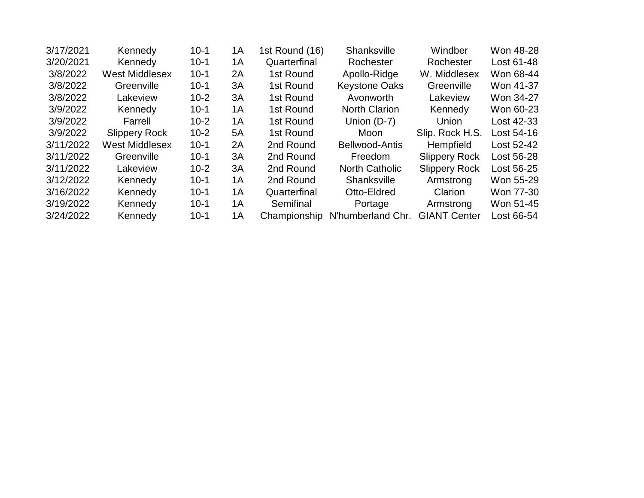| 3/17/2021 | Kennedy               | $10 - 1$ | 1A | 1st Round (16) | <b>Shanksville</b>    | Windber              | Won 48-28  |
|-----------|-----------------------|----------|----|----------------|-----------------------|----------------------|------------|
| 3/20/2021 | Kennedy               | $10 - 1$ | 1A | Quarterfinal   | Rochester             | Rochester            | Lost 61-48 |
| 3/8/2022  | <b>West Middlesex</b> | $10 - 1$ | 2A | 1st Round      | Apollo-Ridge          | W. Middlesex         | Won 68-44  |
| 3/8/2022  | Greenville            | $10-1$   | 3A | 1st Round      | <b>Keystone Oaks</b>  | Greenville           | Won 41-37  |
| 3/8/2022  | Lakeview              | $10 - 2$ | 3A | 1st Round      | Avonworth             | Lakeview             | Won 34-27  |
| 3/9/2022  | Kennedy               | $10 - 1$ | 1A | 1st Round      | <b>North Clarion</b>  | Kennedy              | Won 60-23  |
| 3/9/2022  | Farrell               | $10 - 2$ | 1A | 1st Round      | Union $(D-7)$         | Union                | Lost 42-33 |
| 3/9/2022  | <b>Slippery Rock</b>  | $10 - 2$ | 5A | 1st Round      | Moon                  | Slip. Rock H.S.      | Lost 54-16 |
| 3/11/2022 | <b>West Middlesex</b> | $10-1$   | 2A | 2nd Round      | Bellwood-Antis        | <b>Hempfield</b>     | Lost 52-42 |
| 3/11/2022 | Greenville            | $10-1$   | 3A | 2nd Round      | Freedom               | <b>Slippery Rock</b> | Lost 56-28 |
| 3/11/2022 | Lakeview              | $10 - 2$ | 3A | 2nd Round      | <b>North Catholic</b> | <b>Slippery Rock</b> | Lost 56-25 |
| 3/12/2022 | Kennedy               | $10-1$   | 1A | 2nd Round      | Shanksville           | Armstrong            | Won 55-29  |
| 3/16/2022 | Kennedy               | $10-1$   | 1A | Quarterfinal   | Otto-Eldred           | Clarion              | Won 77-30  |
| 3/19/2022 | Kennedy               | $10-1$   | 1A | Semifinal      | Portage               | Armstrong            | Won 51-45  |
| 3/24/2022 | Kennedy               | $10 - 1$ | 1A | Championship   | N'humberland Chr.     | <b>GIANT Center</b>  | Lost 66-54 |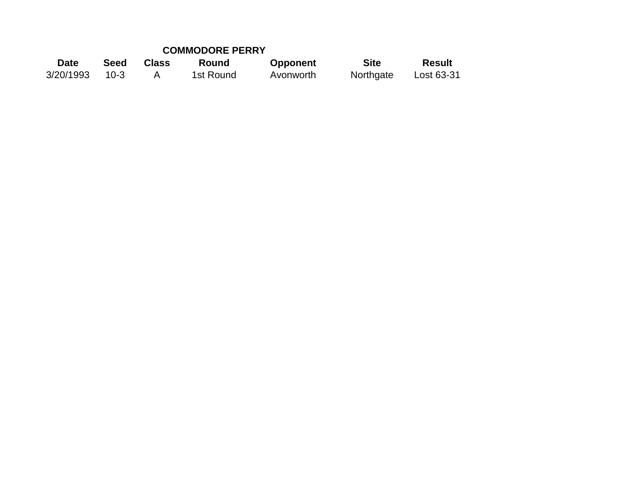## **COMMODORE PERRY**

| Date      | Seed     | <b>Class</b> | Round     | <b>Opponent</b> | <b>Site</b> | <b>Result</b> |
|-----------|----------|--------------|-----------|-----------------|-------------|---------------|
| 3/20/1993 | $10 - 3$ |              | 1st Round | Avonworth       | Northgate   | Lost 63-31    |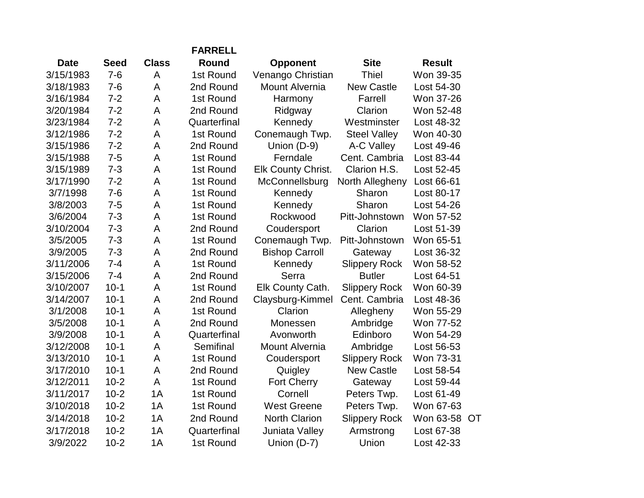|             |             |              | <b>FARRELL</b> |                           |                      |               |    |
|-------------|-------------|--------------|----------------|---------------------------|----------------------|---------------|----|
| <b>Date</b> | <b>Seed</b> | <b>Class</b> | Round          | <b>Opponent</b>           | <b>Site</b>          | <b>Result</b> |    |
| 3/15/1983   | $7 - 6$     | A            | 1st Round      | Venango Christian         | <b>Thiel</b>         | Won 39-35     |    |
| 3/18/1983   | $7 - 6$     | A            | 2nd Round      | <b>Mount Alvernia</b>     | <b>New Castle</b>    | Lost 54-30    |    |
| 3/16/1984   | $7 - 2$     | A            | 1st Round      | Harmony                   | Farrell              | Won 37-26     |    |
| 3/20/1984   | $7 - 2$     | A            | 2nd Round      | Ridgway                   | Clarion              | Won 52-48     |    |
| 3/23/1984   | $7 - 2$     | A            | Quarterfinal   | Kennedy                   | Westminster          | Lost 48-32    |    |
| 3/12/1986   | $7 - 2$     | A            | 1st Round      | Conemaugh Twp.            | <b>Steel Valley</b>  | Won 40-30     |    |
| 3/15/1986   | $7 - 2$     | A            | 2nd Round      | Union (D-9)               | A-C Valley           | Lost 49-46    |    |
| 3/15/1988   | $7 - 5$     | A            | 1st Round      | Ferndale                  | Cent. Cambria        | Lost 83-44    |    |
| 3/15/1989   | $7 - 3$     | A            | 1st Round      | <b>Elk County Christ.</b> | Clarion H.S.         | Lost 52-45    |    |
| 3/17/1990   | $7 - 2$     | A            | 1st Round      | McConnellsburg            | North Allegheny      | Lost 66-61    |    |
| 3/7/1998    | $7 - 6$     | A            | 1st Round      | Kennedy                   | Sharon               | Lost 80-17    |    |
| 3/8/2003    | $7 - 5$     | A            | 1st Round      | Kennedy                   | Sharon               | Lost 54-26    |    |
| 3/6/2004    | $7 - 3$     | A            | 1st Round      | Rockwood                  | Pitt-Johnstown       | Won 57-52     |    |
| 3/10/2004   | $7 - 3$     | A            | 2nd Round      | Coudersport               | Clarion              | Lost 51-39    |    |
| 3/5/2005    | $7 - 3$     | A            | 1st Round      | Conemaugh Twp.            | Pitt-Johnstown       | Won 65-51     |    |
| 3/9/2005    | $7 - 3$     | A            | 2nd Round      | <b>Bishop Carroll</b>     | Gateway              | Lost 36-32    |    |
| 3/11/2006   | $7 - 4$     | A            | 1st Round      | Kennedy                   | <b>Slippery Rock</b> | Won 58-52     |    |
| 3/15/2006   | $7 - 4$     | A            | 2nd Round      | Serra                     | <b>Butler</b>        | Lost 64-51    |    |
| 3/10/2007   | $10-1$      | A            | 1st Round      | Elk County Cath.          | <b>Slippery Rock</b> | Won 60-39     |    |
| 3/14/2007   | $10-1$      | A            | 2nd Round      | Claysburg-Kimmel          | Cent. Cambria        | Lost 48-36    |    |
| 3/1/2008    | $10 - 1$    | A            | 1st Round      | Clarion                   | Allegheny            | Won 55-29     |    |
| 3/5/2008    | $10-1$      | A            | 2nd Round      | Monessen                  | Ambridge             | Won 77-52     |    |
| 3/9/2008    | $10 - 1$    | A            | Quarterfinal   | Avonworth                 | Edinboro             | Won 54-29     |    |
| 3/12/2008   | $10-1$      | A            | Semifinal      | <b>Mount Alvernia</b>     | Ambridge             | Lost 56-53    |    |
| 3/13/2010   | $10-1$      | A            | 1st Round      | Coudersport               | <b>Slippery Rock</b> | Won 73-31     |    |
| 3/17/2010   | $10-1$      | A            | 2nd Round      | Quigley                   | <b>New Castle</b>    | Lost 58-54    |    |
| 3/12/2011   | $10 - 2$    | A            | 1st Round      | <b>Fort Cherry</b>        | Gateway              | Lost 59-44    |    |
| 3/11/2017   | $10-2$      | 1A           | 1st Round      | Cornell                   | Peters Twp.          | Lost 61-49    |    |
| 3/10/2018   | $10-2$      | 1A           | 1st Round      | <b>West Greene</b>        | Peters Twp.          | Won 67-63     |    |
| 3/14/2018   | $10-2$      | 1A           | 2nd Round      | <b>North Clarion</b>      | <b>Slippery Rock</b> | Won 63-58     | OT |
| 3/17/2018   | $10-2$      | 1A           | Quarterfinal   | Juniata Valley            | Armstrong            | Lost 67-38    |    |
| 3/9/2022    | $10 - 2$    | 1A           | 1st Round      | Union (D-7)               | Union                | Lost 42-33    |    |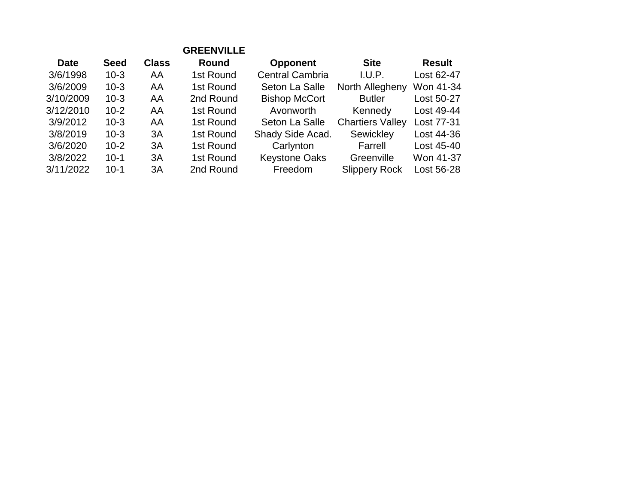|             |             |              | <b>GREENVILLE</b> |                        |                         |               |
|-------------|-------------|--------------|-------------------|------------------------|-------------------------|---------------|
| <b>Date</b> | <b>Seed</b> | <b>Class</b> | <b>Round</b>      | <b>Opponent</b>        | <b>Site</b>             | <b>Result</b> |
| 3/6/1998    | $10 - 3$    | AA           | 1st Round         | <b>Central Cambria</b> | I.U.P.                  | Lost 62-47    |
| 3/6/2009    | $10 - 3$    | AA           | 1st Round         | Seton La Salle         | North Allegheny         | Won 41-34     |
| 3/10/2009   | $10 - 3$    | AA           | 2nd Round         | <b>Bishop McCort</b>   | <b>Butler</b>           | Lost 50-27    |
| 3/12/2010   | $10 - 2$    | AA           | 1st Round         | Avonworth              | Kennedy                 | Lost 49-44    |
| 3/9/2012    | $10-3$      | AA           | 1st Round         | Seton La Salle         | <b>Chartiers Valley</b> | Lost 77-31    |
| 3/8/2019    | $10 - 3$    | 3A           | 1st Round         | Shady Side Acad.       | Sewickley               | Lost 44-36    |
| 3/6/2020    | $10 - 2$    | 3A           | 1st Round         | Carlynton              | Farrell                 | Lost 45-40    |
| 3/8/2022    | $10 - 1$    | 3A           | 1st Round         | <b>Keystone Oaks</b>   | Greenville              | Won 41-37     |
| 3/11/2022   | $10 - 1$    | 3A           | 2nd Round         | Freedom                | <b>Slippery Rock</b>    | Lost 56-28    |
|             |             |              |                   |                        |                         |               |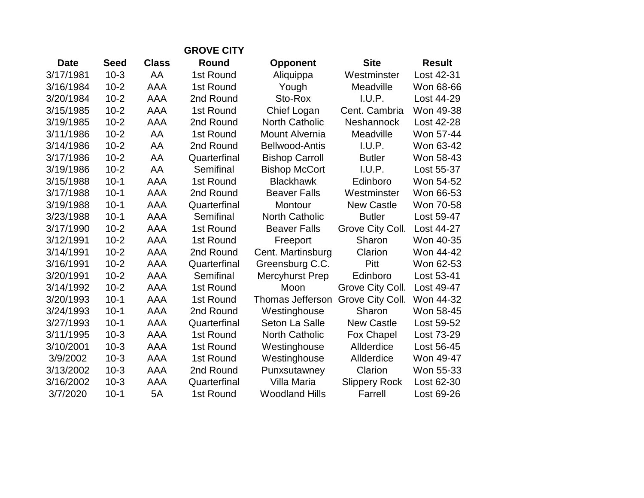|             | <b>GROVE CITY</b> |              |              |                         |                      |               |  |  |
|-------------|-------------------|--------------|--------------|-------------------------|----------------------|---------------|--|--|
| <b>Date</b> | <b>Seed</b>       | <b>Class</b> | <b>Round</b> | <b>Opponent</b>         | <b>Site</b>          | <b>Result</b> |  |  |
| 3/17/1981   | $10-3$            | AA           | 1st Round    | Aliquippa               | Westminster          | Lost 42-31    |  |  |
| 3/16/1984   | $10-2$            | <b>AAA</b>   | 1st Round    | Yough                   | Meadville            | Won 68-66     |  |  |
| 3/20/1984   | $10 - 2$          | <b>AAA</b>   | 2nd Round    | Sto-Rox                 | I.U.P.               | Lost 44-29    |  |  |
| 3/15/1985   | $10-2$            | AAA          | 1st Round    | Chief Logan             | Cent. Cambria        | Won 49-38     |  |  |
| 3/19/1985   | $10-2$            | <b>AAA</b>   | 2nd Round    | <b>North Catholic</b>   | <b>Neshannock</b>    | Lost 42-28    |  |  |
| 3/11/1986   | $10 - 2$          | AA           | 1st Round    | Mount Alvernia          | Meadville            | Won 57-44     |  |  |
| 3/14/1986   | $10-2$            | AA           | 2nd Round    | <b>Bellwood-Antis</b>   | I.U.P.               | Won 63-42     |  |  |
| 3/17/1986   | $10-2$            | AA           | Quarterfinal | <b>Bishop Carroll</b>   | <b>Butler</b>        | Won 58-43     |  |  |
| 3/19/1986   | $10 - 2$          | AA           | Semifinal    | <b>Bishop McCort</b>    | I.U.P.               | Lost 55-37    |  |  |
| 3/15/1988   | $10-1$            | <b>AAA</b>   | 1st Round    | <b>Blackhawk</b>        | Edinboro             | Won 54-52     |  |  |
| 3/17/1988   | $10 - 1$          | AAA          | 2nd Round    | <b>Beaver Falls</b>     | Westminster          | Won 66-53     |  |  |
| 3/19/1988   | $10-1$            | AAA          | Quarterfinal | Montour                 | <b>New Castle</b>    | Won 70-58     |  |  |
| 3/23/1988   | $10 - 1$          | AAA          | Semifinal    | <b>North Catholic</b>   | <b>Butler</b>        | Lost 59-47    |  |  |
| 3/17/1990   | $10 - 2$          | AAA          | 1st Round    | <b>Beaver Falls</b>     | Grove City Coll.     | Lost 44-27    |  |  |
| 3/12/1991   | $10-2$            | AAA          | 1st Round    | Freeport                | Sharon               | Won 40-35     |  |  |
| 3/14/1991   | $10-2$            | AAA          | 2nd Round    | Cent. Martinsburg       | Clarion              | Won 44-42     |  |  |
| 3/16/1991   | $10-2$            | AAA          | Quarterfinal | Greensburg C.C.         | Pitt                 | Won 62-53     |  |  |
| 3/20/1991   | $10 - 2$          | <b>AAA</b>   | Semifinal    | Mercyhurst Prep         | Edinboro             | Lost 53-41    |  |  |
| 3/14/1992   | $10 - 2$          | AAA          | 1st Round    | Moon                    | Grove City Coll.     | Lost 49-47    |  |  |
| 3/20/1993   | $10-1$            | AAA          | 1st Round    | <b>Thomas Jefferson</b> | Grove City Coll.     | Won 44-32     |  |  |
| 3/24/1993   | $10 - 1$          | AAA          | 2nd Round    | Westinghouse            | Sharon               | Won 58-45     |  |  |
| 3/27/1993   | $10 - 1$          | AAA          | Quarterfinal | Seton La Salle          | <b>New Castle</b>    | Lost 59-52    |  |  |
| 3/11/1995   | $10-3$            | AAA          | 1st Round    | <b>North Catholic</b>   | <b>Fox Chapel</b>    | Lost 73-29    |  |  |
| 3/10/2001   | $10-3$            | AAA          | 1st Round    | Westinghouse            | Allderdice           | Lost 56-45    |  |  |
| 3/9/2002    | $10-3$            | AAA          | 1st Round    | Westinghouse            | Allderdice           | Won 49-47     |  |  |
| 3/13/2002   | $10-3$            | <b>AAA</b>   | 2nd Round    | Punxsutawney            | Clarion              | Won 55-33     |  |  |
| 3/16/2002   | $10-3$            | AAA          | Quarterfinal | Villa Maria             | <b>Slippery Rock</b> | Lost 62-30    |  |  |
| 3/7/2020    | $10-1$            | 5A           | 1st Round    | <b>Woodland Hills</b>   | Farrell              | Lost 69-26    |  |  |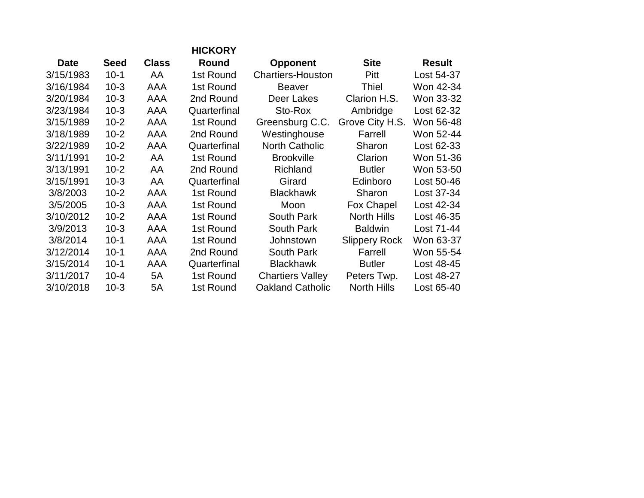|             |             |              | <b>HICKORY</b> |                          |                      |               |
|-------------|-------------|--------------|----------------|--------------------------|----------------------|---------------|
| <b>Date</b> | <b>Seed</b> | <b>Class</b> | Round          | <b>Opponent</b>          | <b>Site</b>          | <b>Result</b> |
| 3/15/1983   | $10 - 1$    | AA           | 1st Round      | <b>Chartiers-Houston</b> | Pitt                 | Lost 54-37    |
| 3/16/1984   | $10-3$      | AAA          | 1st Round      | <b>Beaver</b>            | Thiel                | Won 42-34     |
| 3/20/1984   | $10-3$      | AAA          | 2nd Round      | Deer Lakes               | Clarion H.S.         | Won 33-32     |
| 3/23/1984   | $10-3$      | AAA          | Quarterfinal   | Sto-Rox                  | Ambridge             | Lost 62-32    |
| 3/15/1989   | $10 - 2$    | AAA          | 1st Round      | Greensburg C.C.          | Grove City H.S.      | Won 56-48     |
| 3/18/1989   | $10 - 2$    | AAA          | 2nd Round      | Westinghouse             | Farrell              | Won 52-44     |
| 3/22/1989   | $10 - 2$    | AAA          | Quarterfinal   | <b>North Catholic</b>    | Sharon               | Lost 62-33    |
| 3/11/1991   | $10 - 2$    | AA           | 1st Round      | <b>Brookville</b>        | Clarion              | Won 51-36     |
| 3/13/1991   | $10 - 2$    | AA           | 2nd Round      | Richland                 | <b>Butler</b>        | Won 53-50     |
| 3/15/1991   | $10-3$      | AA           | Quarterfinal   | Girard                   | Edinboro             | Lost 50-46    |
| 3/8/2003    | $10 - 2$    | AAA          | 1st Round      | <b>Blackhawk</b>         | Sharon               | Lost 37-34    |
| 3/5/2005    | $10-3$      | AAA          | 1st Round      | Moon                     | Fox Chapel           | Lost 42-34    |
| 3/10/2012   | $10 - 2$    | AAA          | 1st Round      | South Park               | <b>North Hills</b>   | Lost 46-35    |
| 3/9/2013    | $10-3$      | AAA          | 1st Round      | South Park               | <b>Baldwin</b>       | Lost 71-44    |
| 3/8/2014    | $10-1$      | AAA          | 1st Round      | Johnstown                | <b>Slippery Rock</b> | Won 63-37     |
| 3/12/2014   | $10-1$      | AAA          | 2nd Round      | <b>South Park</b>        | Farrell              | Won 55-54     |
| 3/15/2014   | $10 - 1$    | AAA          | Quarterfinal   | <b>Blackhawk</b>         | <b>Butler</b>        | Lost 48-45    |
| 3/11/2017   | $10 - 4$    | 5A           | 1st Round      | <b>Chartiers Valley</b>  | Peters Twp.          | Lost 48-27    |
| 3/10/2018   | $10-3$      | 5A           | 1st Round      | <b>Oakland Catholic</b>  | <b>North Hills</b>   | Lost 65-40    |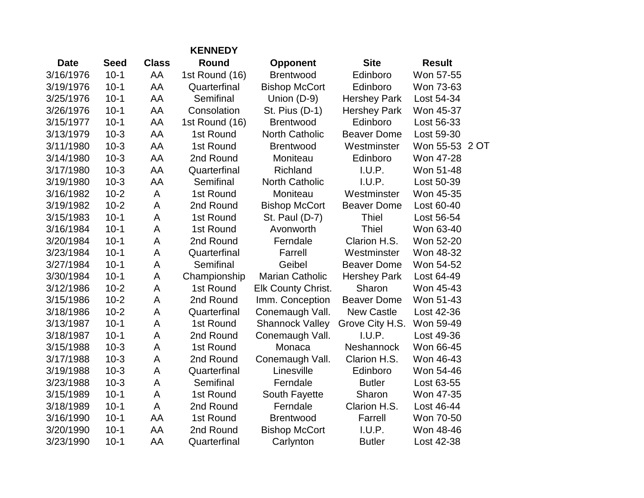|             |             |              | <b>KENNEDY</b> |                           |                     |                |  |
|-------------|-------------|--------------|----------------|---------------------------|---------------------|----------------|--|
| <b>Date</b> | <b>Seed</b> | <b>Class</b> | Round          | <b>Opponent</b>           | <b>Site</b>         | <b>Result</b>  |  |
| 3/16/1976   | $10-1$      | AA           | 1st Round (16) | <b>Brentwood</b>          | Edinboro            | Won 57-55      |  |
| 3/19/1976   | $10 - 1$    | AA           | Quarterfinal   | <b>Bishop McCort</b>      | Edinboro            | Won 73-63      |  |
| 3/25/1976   | $10-1$      | AA           | Semifinal      | Union (D-9)               | <b>Hershey Park</b> | Lost 54-34     |  |
| 3/26/1976   | $10 - 1$    | AA           | Consolation    | St. Pius (D-1)            | <b>Hershey Park</b> | Won 45-37      |  |
| 3/15/1977   | $10-1$      | AA           | 1st Round (16) | <b>Brentwood</b>          | Edinboro            | Lost 56-33     |  |
| 3/13/1979   | $10-3$      | AA           | 1st Round      | <b>North Catholic</b>     | <b>Beaver Dome</b>  | Lost 59-30     |  |
| 3/11/1980   | $10-3$      | AA           | 1st Round      | <b>Brentwood</b>          | Westminster         | Won 55-53 2 OT |  |
| 3/14/1980   | $10-3$      | AA           | 2nd Round      | Moniteau                  | Edinboro            | Won 47-28      |  |
| 3/17/1980   | $10-3$      | AA           | Quarterfinal   | <b>Richland</b>           | I.U.P.              | Won 51-48      |  |
| 3/19/1980   | $10-3$      | AA           | Semifinal      | <b>North Catholic</b>     | I.U.P.              | Lost 50-39     |  |
| 3/16/1982   | $10 - 2$    | A            | 1st Round      | Moniteau                  | Westminster         | Won 45-35      |  |
| 3/19/1982   | $10-2$      | A            | 2nd Round      | <b>Bishop McCort</b>      | <b>Beaver Dome</b>  | Lost 60-40     |  |
| 3/15/1983   | $10 - 1$    | A            | 1st Round      | St. Paul (D-7)            | <b>Thiel</b>        | Lost 56-54     |  |
| 3/16/1984   | $10 - 1$    | A            | 1st Round      | Avonworth                 | Thiel               | Won 63-40      |  |
| 3/20/1984   | $10 - 1$    | A            | 2nd Round      | Ferndale                  | Clarion H.S.        | Won 52-20      |  |
| 3/23/1984   | $10 - 1$    | A            | Quarterfinal   | Farrell                   | Westminster         | Won 48-32      |  |
| 3/27/1984   | $10-1$      | A            | Semifinal      | Geibel                    | <b>Beaver Dome</b>  | Won 54-52      |  |
| 3/30/1984   | $10 - 1$    | A            | Championship   | <b>Marian Catholic</b>    | <b>Hershey Park</b> | Lost 64-49     |  |
| 3/12/1986   | $10 - 2$    | A            | 1st Round      | <b>Elk County Christ.</b> | Sharon              | Won 45-43      |  |
| 3/15/1986   | $10-2$      | A            | 2nd Round      | Imm. Conception           | <b>Beaver Dome</b>  | Won 51-43      |  |
| 3/18/1986   | $10-2$      | A            | Quarterfinal   | Conemaugh Vall.           | <b>New Castle</b>   | Lost 42-36     |  |
| 3/13/1987   | $10 - 1$    | A            | 1st Round      | <b>Shannock Valley</b>    | Grove City H.S.     | Won 59-49      |  |
| 3/18/1987   | $10 - 1$    | A            | 2nd Round      | Conemaugh Vall.           | I.U.P.              | Lost 49-36     |  |
| 3/15/1988   | $10-3$      | A            | 1st Round      | Monaca                    | Neshannock          | Won 66-45      |  |
| 3/17/1988   | $10-3$      | A            | 2nd Round      | Conemaugh Vall.           | Clarion H.S.        | Won 46-43      |  |
| 3/19/1988   | $10-3$      | A            | Quarterfinal   | Linesville                | Edinboro            | Won 54-46      |  |
| 3/23/1988   | $10-3$      | A            | Semifinal      | Ferndale                  | <b>Butler</b>       | Lost 63-55     |  |
| 3/15/1989   | $10 - 1$    | A            | 1st Round      | South Fayette             | Sharon              | Won 47-35      |  |
| 3/18/1989   | $10-1$      | A            | 2nd Round      | Ferndale                  | Clarion H.S.        | Lost 46-44     |  |
| 3/16/1990   | $10 - 1$    | AA           | 1st Round      | <b>Brentwood</b>          | Farrell             | Won 70-50      |  |
| 3/20/1990   | $10 - 1$    | AA           | 2nd Round      | <b>Bishop McCort</b>      | I.U.P.              | Won 48-46      |  |
| 3/23/1990   | $10 - 1$    | AA           | Quarterfinal   | Carlynton                 | <b>Butler</b>       | Lost 42-38     |  |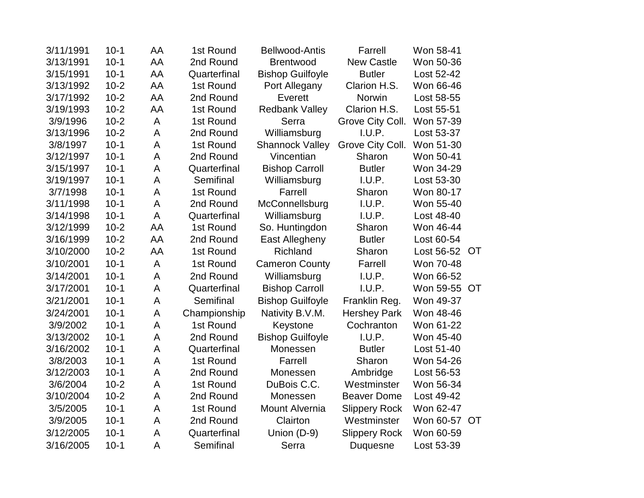| 3/11/1991 | $10 - 1$ | AA | 1st Round    | <b>Bellwood-Antis</b>   | Farrell              | Won 58-41    |           |
|-----------|----------|----|--------------|-------------------------|----------------------|--------------|-----------|
| 3/13/1991 | $10-1$   | AA | 2nd Round    | <b>Brentwood</b>        | <b>New Castle</b>    | Won 50-36    |           |
| 3/15/1991 | $10-1$   | AA | Quarterfinal | <b>Bishop Guilfoyle</b> | <b>Butler</b>        | Lost 52-42   |           |
| 3/13/1992 | $10 - 2$ | AA | 1st Round    | Port Allegany           | Clarion H.S.         | Won 66-46    |           |
| 3/17/1992 | $10-2$   | AA | 2nd Round    | Everett                 | Norwin               | Lost 58-55   |           |
| 3/19/1993 | $10-2$   | AA | 1st Round    | <b>Redbank Valley</b>   | Clarion H.S.         | Lost 55-51   |           |
| 3/9/1996  | $10-2$   | A  | 1st Round    | Serra                   | Grove City Coll.     | Won 57-39    |           |
| 3/13/1996 | $10 - 2$ | A  | 2nd Round    | Williamsburg            | I.U.P.               | Lost 53-37   |           |
| 3/8/1997  | $10 - 1$ | A  | 1st Round    | <b>Shannock Valley</b>  | Grove City Coll.     | Won 51-30    |           |
| 3/12/1997 | $10 - 1$ | A  | 2nd Round    | Vincentian              | Sharon               | Won 50-41    |           |
| 3/15/1997 | $10-1$   | A  | Quarterfinal | <b>Bishop Carroll</b>   | <b>Butler</b>        | Won 34-29    |           |
| 3/19/1997 | $10 - 1$ | A  | Semifinal    | Williamsburg            | I.U.P.               | Lost 53-30   |           |
| 3/7/1998  | $10 - 1$ | A  | 1st Round    | Farrell                 | Sharon               | Won 80-17    |           |
| 3/11/1998 | $10-1$   | A  | 2nd Round    | McConnellsburg          | I.U.P.               | Won 55-40    |           |
| 3/14/1998 | $10 - 1$ | A  | Quarterfinal | Williamsburg            | I.U.P.               | Lost 48-40   |           |
| 3/12/1999 | $10 - 2$ | AA | 1st Round    | So. Huntingdon          | Sharon               | Won 46-44    |           |
| 3/16/1999 | $10-2$   | AA | 2nd Round    | East Allegheny          | <b>Butler</b>        | Lost 60-54   |           |
| 3/10/2000 | $10-2$   | AA | 1st Round    | Richland                | Sharon               | Lost 56-52   | <b>OT</b> |
| 3/10/2001 | $10-1$   | A  | 1st Round    | <b>Cameron County</b>   | Farrell              | Won 70-48    |           |
| 3/14/2001 | $10-1$   | A  | 2nd Round    | Williamsburg            | I.U.P.               | Won 66-52    |           |
| 3/17/2001 | $10-1$   | A  | Quarterfinal | <b>Bishop Carroll</b>   | I.U.P.               | Won 59-55 OT |           |
| 3/21/2001 | $10-1$   | A  | Semifinal    | <b>Bishop Guilfoyle</b> | Franklin Reg.        | Won 49-37    |           |
| 3/24/2001 | $10-1$   | A  | Championship | Nativity B.V.M.         | <b>Hershey Park</b>  | Won 48-46    |           |
| 3/9/2002  | $10-1$   | A  | 1st Round    | Keystone                | Cochranton           | Won 61-22    |           |
| 3/13/2002 | $10-1$   | A  | 2nd Round    | <b>Bishop Guilfoyle</b> | I.U.P.               | Won 45-40    |           |
| 3/16/2002 | $10 - 1$ | A  | Quarterfinal | Monessen                | <b>Butler</b>        | Lost 51-40   |           |
| 3/8/2003  | $10 - 1$ | A  | 1st Round    | Farrell                 | Sharon               | Won 54-26    |           |
| 3/12/2003 | $10 - 1$ | A  | 2nd Round    | Monessen                | Ambridge             | Lost 56-53   |           |
| 3/6/2004  | $10-2$   | A  | 1st Round    | DuBois C.C.             | Westminster          | Won 56-34    |           |
| 3/10/2004 | $10-2$   | A  | 2nd Round    | Monessen                | <b>Beaver Dome</b>   | Lost 49-42   |           |
| 3/5/2005  | $10-1$   | A  | 1st Round    | <b>Mount Alvernia</b>   | <b>Slippery Rock</b> | Won 62-47    |           |
| 3/9/2005  | $10 - 1$ | A  | 2nd Round    | Clairton                | Westminster          | Won 60-57 OT |           |
| 3/12/2005 | $10 - 1$ | A  | Quarterfinal | Union (D-9)             | <b>Slippery Rock</b> | Won 60-59    |           |
| 3/16/2005 | $10 - 1$ | A  | Semifinal    | Serra                   | Duquesne             | Lost 53-39   |           |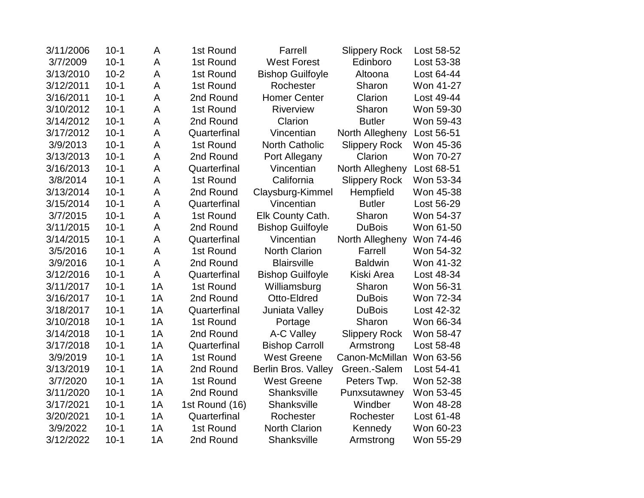| 3/11/2006 | $10 - 1$ | A  | 1st Round      | Farrell                    | <b>Slippery Rock</b> | Lost 58-52 |
|-----------|----------|----|----------------|----------------------------|----------------------|------------|
| 3/7/2009  | $10 - 1$ | A  | 1st Round      | <b>West Forest</b>         | Edinboro             | Lost 53-38 |
| 3/13/2010 | $10 - 2$ | A  | 1st Round      | <b>Bishop Guilfoyle</b>    | Altoona              | Lost 64-44 |
| 3/12/2011 | $10 - 1$ | A  | 1st Round      | Rochester                  | Sharon               | Won 41-27  |
| 3/16/2011 | $10 - 1$ | A  | 2nd Round      | <b>Homer Center</b>        | Clarion              | Lost 49-44 |
| 3/10/2012 | $10 - 1$ | A  | 1st Round      | Riverview                  | Sharon               | Won 59-30  |
| 3/14/2012 | $10 - 1$ | A  | 2nd Round      | Clarion                    | <b>Butler</b>        | Won 59-43  |
| 3/17/2012 | $10 - 1$ | A  | Quarterfinal   | Vincentian                 | North Allegheny      | Lost 56-51 |
| 3/9/2013  | $10 - 1$ | A  | 1st Round      | <b>North Catholic</b>      | <b>Slippery Rock</b> | Won 45-36  |
| 3/13/2013 | $10 - 1$ | A  | 2nd Round      | Port Allegany              | Clarion              | Won 70-27  |
| 3/16/2013 | $10 - 1$ | A  | Quarterfinal   | Vincentian                 | North Allegheny      | Lost 68-51 |
| 3/8/2014  | $10 - 1$ | A  | 1st Round      | California                 | <b>Slippery Rock</b> | Won 53-34  |
| 3/13/2014 | $10 - 1$ | A  | 2nd Round      | Claysburg-Kimmel           | Hempfield            | Won 45-38  |
| 3/15/2014 | $10-1$   | A  | Quarterfinal   | Vincentian                 | <b>Butler</b>        | Lost 56-29 |
| 3/7/2015  | $10 - 1$ | A  | 1st Round      | Elk County Cath.           | Sharon               | Won 54-37  |
| 3/11/2015 | $10-1$   | A  | 2nd Round      | <b>Bishop Guilfoyle</b>    | <b>DuBois</b>        | Won 61-50  |
| 3/14/2015 | $10-1$   | A  | Quarterfinal   | Vincentian                 | North Allegheny      | Won 74-46  |
| 3/5/2016  | $10 - 1$ | A  | 1st Round      | <b>North Clarion</b>       | Farrell              | Won 54-32  |
| 3/9/2016  | $10 - 1$ | A  | 2nd Round      | <b>Blairsville</b>         | <b>Baldwin</b>       | Won 41-32  |
| 3/12/2016 | $10 - 1$ | A  | Quarterfinal   | <b>Bishop Guilfoyle</b>    | Kiski Area           | Lost 48-34 |
| 3/11/2017 | $10 - 1$ | 1A | 1st Round      | Williamsburg               | Sharon               | Won 56-31  |
| 3/16/2017 | $10 - 1$ | 1A | 2nd Round      | Otto-Eldred                | <b>DuBois</b>        | Won 72-34  |
| 3/18/2017 | $10 - 1$ | 1A | Quarterfinal   | Juniata Valley             | <b>DuBois</b>        | Lost 42-32 |
| 3/10/2018 | $10 - 1$ | 1A | 1st Round      | Portage                    | Sharon               | Won 66-34  |
| 3/14/2018 | $10-1$   | 1A | 2nd Round      | A-C Valley                 | <b>Slippery Rock</b> | Won 58-47  |
| 3/17/2018 | $10 - 1$ | 1A | Quarterfinal   | <b>Bishop Carroll</b>      | Armstrong            | Lost 58-48 |
| 3/9/2019  | $10 - 1$ | 1A | 1st Round      | <b>West Greene</b>         | Canon-McMillan       | Won 63-56  |
| 3/13/2019 | $10 - 1$ | 1A | 2nd Round      | <b>Berlin Bros. Valley</b> | Green.-Salem         | Lost 54-41 |
| 3/7/2020  | $10-1$   | 1A | 1st Round      | <b>West Greene</b>         | Peters Twp.          | Won 52-38  |
| 3/11/2020 | $10 - 1$ | 1A | 2nd Round      | Shanksville                | Punxsutawney         | Won 53-45  |
| 3/17/2021 | $10-1$   | 1A | 1st Round (16) | Shanksville                | Windber              | Won 48-28  |
| 3/20/2021 | $10 - 1$ | 1A | Quarterfinal   | Rochester                  | Rochester            | Lost 61-48 |
| 3/9/2022  | $10-1$   | 1A | 1st Round      | <b>North Clarion</b>       | Kennedy              | Won 60-23  |
| 3/12/2022 | $10-1$   | 1A | 2nd Round      | Shanksville                | Armstrong            | Won 55-29  |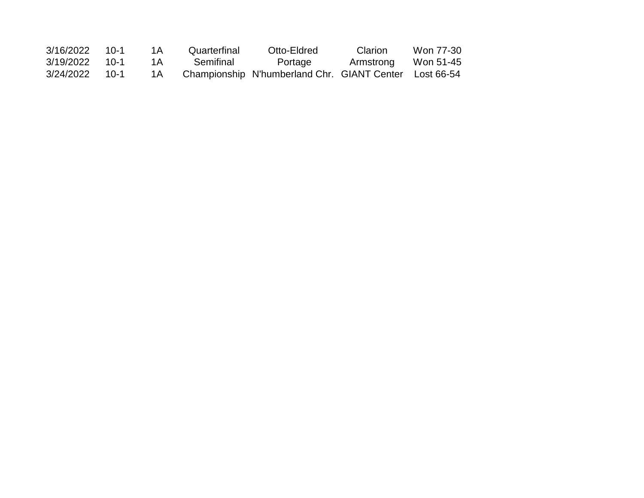| 3/16/2022 | $1() - 1$  | 1 A | Quarterfinal | Otto-Eldred                                            | <b>Clarion</b> | Won 77-30 |
|-----------|------------|-----|--------------|--------------------------------------------------------|----------------|-----------|
| 3/19/2022 | $-1() - 1$ | 1 A | Semifinal    | Portage                                                | Armstrong      | Won 51-45 |
| 3/24/2022 | $1() - 1$  | 1 A |              | Championship N'humberland Chr. GIANT Center Lost 66-54 |                |           |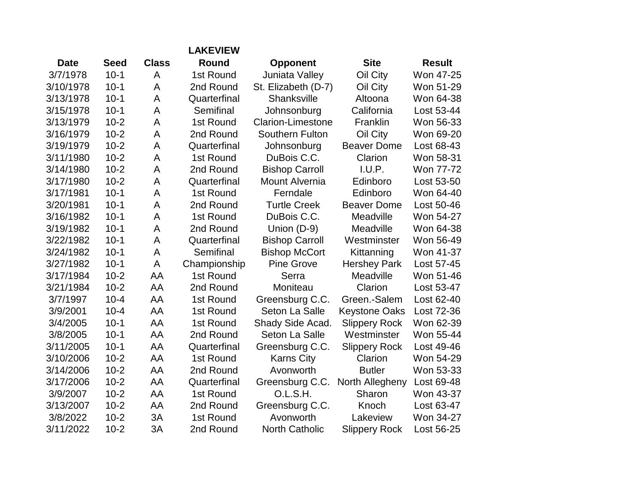|             |             |              | <b>LAKEVIEW</b> |                        |                      |               |
|-------------|-------------|--------------|-----------------|------------------------|----------------------|---------------|
| <b>Date</b> | <b>Seed</b> | <b>Class</b> | <b>Round</b>    | <b>Opponent</b>        | <b>Site</b>          | <b>Result</b> |
| 3/7/1978    | $10-1$      | A            | 1st Round       | Juniata Valley         | Oil City             | Won 47-25     |
| 3/10/1978   | $10-1$      | A            | 2nd Round       | St. Elizabeth (D-7)    | Oil City             | Won 51-29     |
| 3/13/1978   | $10 - 1$    | A            | Quarterfinal    | Shanksville            | Altoona              | Won 64-38     |
| 3/15/1978   | $10 - 1$    | A            | Semifinal       | Johnsonburg            | California           | Lost 53-44    |
| 3/13/1979   | $10 - 2$    | A            | 1st Round       | Clarion-Limestone      | Franklin             | Won 56-33     |
| 3/16/1979   | $10 - 2$    | A            | 2nd Round       | <b>Southern Fulton</b> | Oil City             | Won 69-20     |
| 3/19/1979   | $10 - 2$    | A            | Quarterfinal    | Johnsonburg            | <b>Beaver Dome</b>   | Lost 68-43    |
| 3/11/1980   | $10-2$      | A            | 1st Round       | DuBois C.C.            | Clarion              | Won 58-31     |
| 3/14/1980   | $10-2$      | A            | 2nd Round       | <b>Bishop Carroll</b>  | I.U.P.               | Won 77-72     |
| 3/17/1980   | $10 - 2$    | A            | Quarterfinal    | <b>Mount Alvernia</b>  | Edinboro             | Lost 53-50    |
| 3/17/1981   | $10 - 1$    | A            | 1st Round       | Ferndale               | Edinboro             | Won 64-40     |
| 3/20/1981   | $10 - 1$    | A            | 2nd Round       | <b>Turtle Creek</b>    | <b>Beaver Dome</b>   | Lost 50-46    |
| 3/16/1982   | $10-1$      | A            | 1st Round       | DuBois C.C.            | Meadville            | Won 54-27     |
| 3/19/1982   | $10 - 1$    | A            | 2nd Round       | Union (D-9)            | Meadville            | Won 64-38     |
| 3/22/1982   | $10 - 1$    | A            | Quarterfinal    | <b>Bishop Carroll</b>  | Westminster          | Won 56-49     |
| 3/24/1982   | $10 - 1$    | A            | Semifinal       | <b>Bishop McCort</b>   | Kittanning           | Won 41-37     |
| 3/27/1982   | $10-1$      | A            | Championship    | <b>Pine Grove</b>      | <b>Hershey Park</b>  | Lost 57-45    |
| 3/17/1984   | $10 - 2$    | AA           | 1st Round       | Serra                  | Meadville            | Won 51-46     |
| 3/21/1984   | $10 - 2$    | AA           | 2nd Round       | Moniteau               | Clarion              | Lost 53-47    |
| 3/7/1997    | $10 - 4$    | AA           | 1st Round       | Greensburg C.C.        | Green.-Salem         | Lost 62-40    |
| 3/9/2001    | $10 - 4$    | AA           | 1st Round       | Seton La Salle         | <b>Keystone Oaks</b> | Lost 72-36    |
| 3/4/2005    | $10 - 1$    | AA           | 1st Round       | Shady Side Acad.       | <b>Slippery Rock</b> | Won 62-39     |
| 3/8/2005    | $10 - 1$    | AA           | 2nd Round       | Seton La Salle         | Westminster          | Won 55-44     |
| 3/11/2005   | $10 - 1$    | AA           | Quarterfinal    | Greensburg C.C.        | <b>Slippery Rock</b> | Lost 49-46    |
| 3/10/2006   | $10 - 2$    | AA           | 1st Round       | <b>Karns City</b>      | Clarion              | Won 54-29     |
| 3/14/2006   | $10 - 2$    | AA           | 2nd Round       | Avonworth              | <b>Butler</b>        | Won 53-33     |
| 3/17/2006   | $10 - 2$    | AA           | Quarterfinal    | Greensburg C.C.        | North Allegheny      | Lost 69-48    |
| 3/9/2007    | $10-2$      | AA           | 1st Round       | O.L.S.H.               | Sharon               | Won 43-37     |
| 3/13/2007   | $10-2$      | AA           | 2nd Round       | Greensburg C.C.        | Knoch                | Lost 63-47    |
| 3/8/2022    | $10 - 2$    | 3A           | 1st Round       | Avonworth              | Lakeview             | Won 34-27     |
| 3/11/2022   | $10 - 2$    | 3A           | 2nd Round       | <b>North Catholic</b>  | <b>Slippery Rock</b> | Lost 56-25    |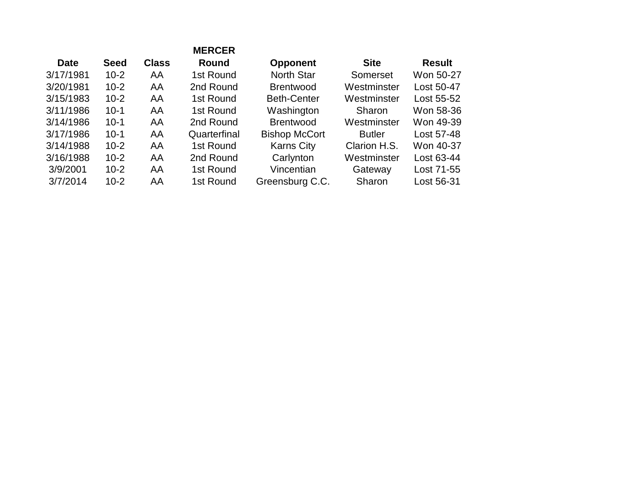|             |             |              | <b>MERCER</b> |                      |               |               |
|-------------|-------------|--------------|---------------|----------------------|---------------|---------------|
| <b>Date</b> | <b>Seed</b> | <b>Class</b> | Round         | <b>Opponent</b>      | <b>Site</b>   | <b>Result</b> |
| 3/17/1981   | $10 - 2$    | AA           | 1st Round     | <b>North Star</b>    | Somerset      | Won 50-27     |
| 3/20/1981   | $10 - 2$    | AA           | 2nd Round     | <b>Brentwood</b>     | Westminster   | Lost 50-47    |
| 3/15/1983   | $10 - 2$    | AA           | 1st Round     | <b>Beth-Center</b>   | Westminster   | Lost 55-52    |
| 3/11/1986   | $10 - 1$    | AA           | 1st Round     | Washington           | Sharon        | Won 58-36     |
| 3/14/1986   | $10 - 1$    | AA           | 2nd Round     | <b>Brentwood</b>     | Westminster   | Won 49-39     |
| 3/17/1986   | $10 - 1$    | AA           | Quarterfinal  | <b>Bishop McCort</b> | <b>Butler</b> | Lost 57-48    |
| 3/14/1988   | $10 - 2$    | AA           | 1st Round     | <b>Karns City</b>    | Clarion H.S.  | Won 40-37     |
| 3/16/1988   | $10 - 2$    | AA           | 2nd Round     | Carlynton            | Westminster   | Lost 63-44    |
| 3/9/2001    | $10 - 2$    | AA           | 1st Round     | Vincentian           | Gateway       | Lost 71-55    |
| 3/7/2014    | $10 - 2$    | AA           | 1st Round     | Greensburg C.C.      | Sharon        | Lost 56-31    |
|             |             |              |               |                      |               |               |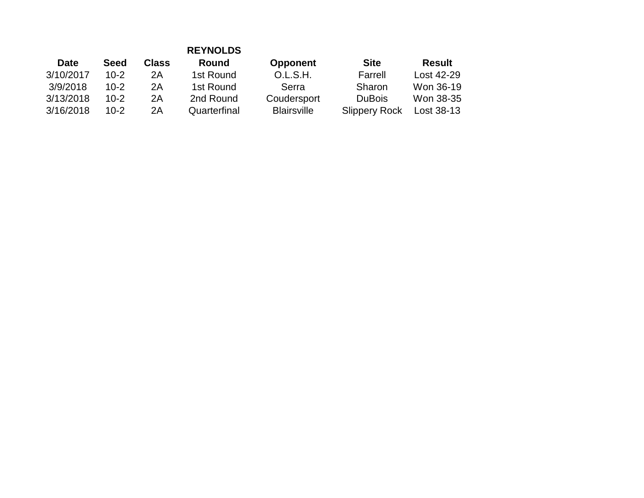|             |             |              | <b>REYNOLDS</b> |                    |                      |               |
|-------------|-------------|--------------|-----------------|--------------------|----------------------|---------------|
| <b>Date</b> | <b>Seed</b> | <b>Class</b> | Round           | <b>Opponent</b>    | <b>Site</b>          | <b>Result</b> |
| 3/10/2017   | $10 - 2$    | 2A           | 1st Round       | O.L.S.H.           | Farrell              | Lost 42-29    |
| 3/9/2018    | $10 - 2$    | 2A           | 1st Round       | Serra              | Sharon               | Won 36-19     |
| 3/13/2018   | $10 - 2$    | 2A           | 2nd Round       | Coudersport        | <b>DuBois</b>        | Won 38-35     |
| 3/16/2018   | $10-2$      | 2A           | Quarterfinal    | <b>Blairsville</b> | <b>Slippery Rock</b> | Lost 38-13    |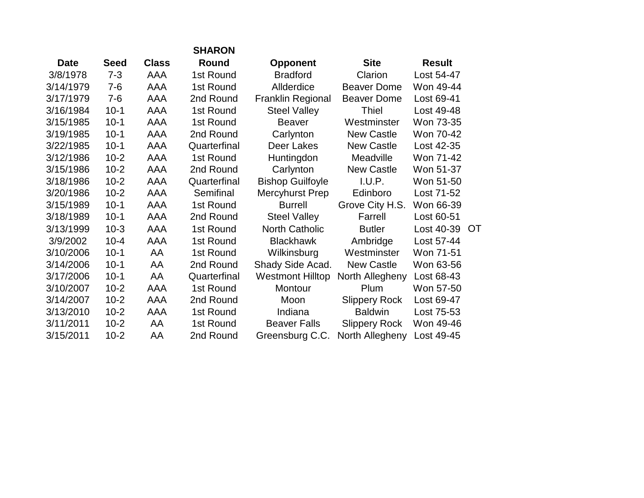|             |             |              | <b>SHARON</b> |                         |                      |               |    |
|-------------|-------------|--------------|---------------|-------------------------|----------------------|---------------|----|
| <b>Date</b> | <b>Seed</b> | <b>Class</b> | Round         | <b>Opponent</b>         | <b>Site</b>          | <b>Result</b> |    |
| 3/8/1978    | $7 - 3$     | AAA          | 1st Round     | <b>Bradford</b>         | Clarion              | Lost 54-47    |    |
| 3/14/1979   | $7 - 6$     | AAA          | 1st Round     | Allderdice              | <b>Beaver Dome</b>   | Won 49-44     |    |
| 3/17/1979   | $7 - 6$     | AAA          | 2nd Round     | Franklin Regional       | <b>Beaver Dome</b>   | Lost 69-41    |    |
| 3/16/1984   | $10-1$      | AAA          | 1st Round     | <b>Steel Valley</b>     | Thiel                | Lost 49-48    |    |
| 3/15/1985   | $10-1$      | AAA          | 1st Round     | <b>Beaver</b>           | Westminster          | Won 73-35     |    |
| 3/19/1985   | $10 - 1$    | AAA          | 2nd Round     | Carlynton               | <b>New Castle</b>    | Won 70-42     |    |
| 3/22/1985   | $10-1$      | AAA          | Quarterfinal  | Deer Lakes              | <b>New Castle</b>    | Lost 42-35    |    |
| 3/12/1986   | $10 - 2$    | AAA          | 1st Round     | Huntingdon              | Meadville            | Won 71-42     |    |
| 3/15/1986   | $10 - 2$    | AAA          | 2nd Round     | Carlynton               | <b>New Castle</b>    | Won 51-37     |    |
| 3/18/1986   | $10 - 2$    | AAA          | Quarterfinal  | <b>Bishop Guilfoyle</b> | I.U.P.               | Won 51-50     |    |
| 3/20/1986   | $10 - 2$    | AAA          | Semifinal     | Mercyhurst Prep         | Edinboro             | Lost 71-52    |    |
| 3/15/1989   | $10-1$      | AAA          | 1st Round     | <b>Burrell</b>          | Grove City H.S.      | Won 66-39     |    |
| 3/18/1989   | $10-1$      | AAA          | 2nd Round     | <b>Steel Valley</b>     | Farrell              | Lost 60-51    |    |
| 3/13/1999   | $10-3$      | AAA          | 1st Round     | North Catholic          | <b>Butler</b>        | Lost 40-39    | OT |
| 3/9/2002    | $10 - 4$    | AAA          | 1st Round     | <b>Blackhawk</b>        | Ambridge             | Lost 57-44    |    |
| 3/10/2006   | $10 - 1$    | AA           | 1st Round     | Wilkinsburg             | Westminster          | Won 71-51     |    |
| 3/14/2006   | $10-1$      | AA           | 2nd Round     | Shady Side Acad.        | <b>New Castle</b>    | Won 63-56     |    |
| 3/17/2006   | $10-1$      | AA           | Quarterfinal  | <b>Westmont Hilltop</b> | North Allegheny      | Lost 68-43    |    |
| 3/10/2007   | $10 - 2$    | AAA          | 1st Round     | Montour                 | Plum                 | Won 57-50     |    |
| 3/14/2007   | $10 - 2$    | AAA          | 2nd Round     | Moon                    | <b>Slippery Rock</b> | Lost 69-47    |    |
| 3/13/2010   | $10-2$      | AAA          | 1st Round     | Indiana                 | <b>Baldwin</b>       | Lost 75-53    |    |
| 3/11/2011   | $10 - 2$    | AA           | 1st Round     | <b>Beaver Falls</b>     | <b>Slippery Rock</b> | Won 49-46     |    |
| 3/15/2011   | $10 - 2$    | AA           | 2nd Round     | Greensburg C.C.         | North Allegheny      | Lost 49-45    |    |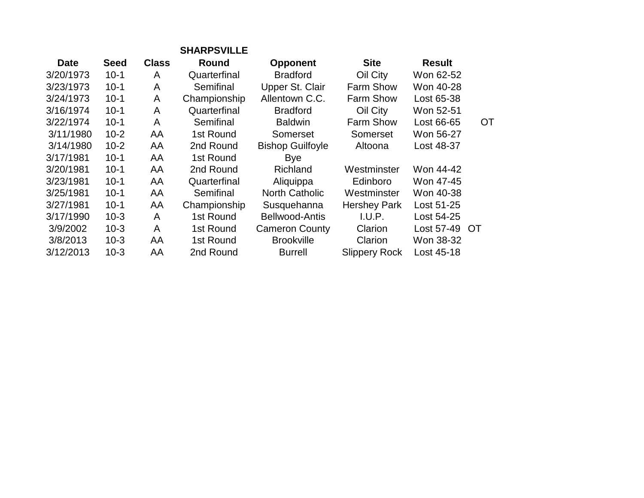|             |              | <b>SHARPSVILLE</b> |                         |                      |               |    |
|-------------|--------------|--------------------|-------------------------|----------------------|---------------|----|
| <b>Seed</b> | <b>Class</b> | Round              | <b>Opponent</b>         | <b>Site</b>          | <b>Result</b> |    |
| $10 - 1$    | A            | Quarterfinal       | <b>Bradford</b>         | Oil City             | Won 62-52     |    |
| $10 - 1$    | A            | Semifinal          | Upper St. Clair         | Farm Show            | Won 40-28     |    |
| $10 - 1$    | A            | Championship       | Allentown C.C.          | Farm Show            | Lost 65-38    |    |
| $10 - 1$    | A            | Quarterfinal       | <b>Bradford</b>         | Oil City             | Won 52-51     |    |
| $10 - 1$    | A            | Semifinal          | <b>Baldwin</b>          | Farm Show            | Lost 66-65    | ОT |
| $10 - 2$    | AA           | 1st Round          | Somerset                | Somerset             | Won 56-27     |    |
| $10 - 2$    | AA           | 2nd Round          | <b>Bishop Guilfoyle</b> | Altoona              | Lost 48-37    |    |
| $10 - 1$    | AA           | 1st Round          | <b>Bye</b>              |                      |               |    |
| $10 - 1$    | AA           | 2nd Round          | Richland                | Westminster          | Won 44-42     |    |
| $10 - 1$    | AA           | Quarterfinal       | Aliquippa               | Edinboro             | Won 47-45     |    |
| $10 - 1$    | AA           | Semifinal          | <b>North Catholic</b>   | Westminster          | Won 40-38     |    |
| $10 - 1$    | AA           | Championship       | Susquehanna             | <b>Hershey Park</b>  | Lost 51-25    |    |
| $10 - 3$    | A            | 1st Round          | <b>Bellwood-Antis</b>   | I.U.P.               | Lost 54-25    |    |
| $10-3$      | A            | 1st Round          | <b>Cameron County</b>   | Clarion              | Lost 57-49 OT |    |
| $10-3$      | AA           | 1st Round          | <b>Brookville</b>       | Clarion              | Won 38-32     |    |
| $10-3$      | AA           | 2nd Round          | <b>Burrell</b>          | <b>Slippery Rock</b> | Lost 45-18    |    |
|             |              |                    |                         |                      |               |    |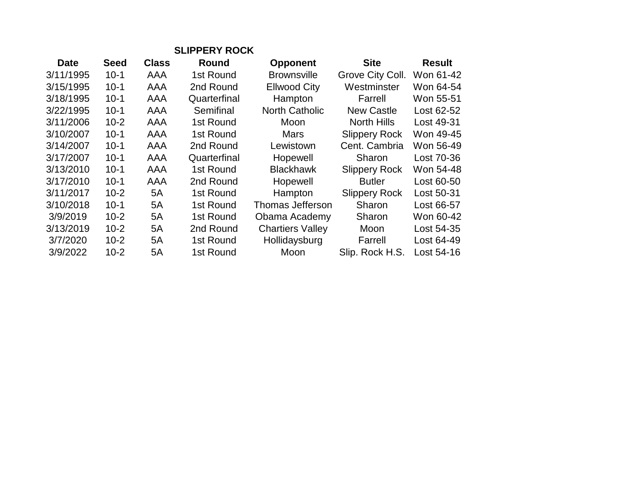| <b>SLIPPERY ROCK</b> |             |              |              |                         |                      |               |
|----------------------|-------------|--------------|--------------|-------------------------|----------------------|---------------|
| <b>Date</b>          | <b>Seed</b> | <b>Class</b> | Round        | <b>Opponent</b>         | <b>Site</b>          | <b>Result</b> |
| 3/11/1995            | $10 - 1$    | AAA          | 1st Round    | <b>Brownsville</b>      | Grove City Coll.     | Won 61-42     |
| 3/15/1995            | $10 - 1$    | AAA          | 2nd Round    | <b>Ellwood City</b>     | Westminster          | Won 64-54     |
| 3/18/1995            | $10 - 1$    | AAA          | Quarterfinal | Hampton                 | Farrell              | Won 55-51     |
| 3/22/1995            | $10 - 1$    | AAA          | Semifinal    | <b>North Catholic</b>   | <b>New Castle</b>    | Lost 62-52    |
| 3/11/2006            | $10 - 2$    | AAA          | 1st Round    | Moon                    | North Hills          | Lost 49-31    |
| 3/10/2007            | $10 - 1$    | AAA          | 1st Round    | <b>Mars</b>             | <b>Slippery Rock</b> | Won 49-45     |
| 3/14/2007            | $10 - 1$    | AAA          | 2nd Round    | Lewistown               | Cent. Cambria        | Won 56-49     |
| 3/17/2007            | $10 - 1$    | AAA          | Quarterfinal | Hopewell                | Sharon               | Lost 70-36    |
| 3/13/2010            | $10 - 1$    | AAA          | 1st Round    | <b>Blackhawk</b>        | <b>Slippery Rock</b> | Won 54-48     |
| 3/17/2010            | $10 - 1$    | <b>AAA</b>   | 2nd Round    | Hopewell                | <b>Butler</b>        | Lost 60-50    |
| 3/11/2017            | $10 - 2$    | 5A           | 1st Round    | Hampton                 | <b>Slippery Rock</b> | Lost 50-31    |
| 3/10/2018            | $10 - 1$    | 5A           | 1st Round    | Thomas Jefferson        | Sharon               | Lost 66-57    |
| 3/9/2019             | $10 - 2$    | 5A           | 1st Round    | Obama Academy           | Sharon               | Won 60-42     |
| 3/13/2019            | $10 - 2$    | 5A           | 2nd Round    | <b>Chartiers Valley</b> | Moon                 | Lost 54-35    |
| 3/7/2020             | $10 - 2$    | 5A           | 1st Round    | Hollidaysburg           | Farrell              | Lost 64-49    |
| 3/9/2022             | $10 - 2$    | 5A           | 1st Round    | Moon                    | Slip. Rock H.S.      | Lost 54-16    |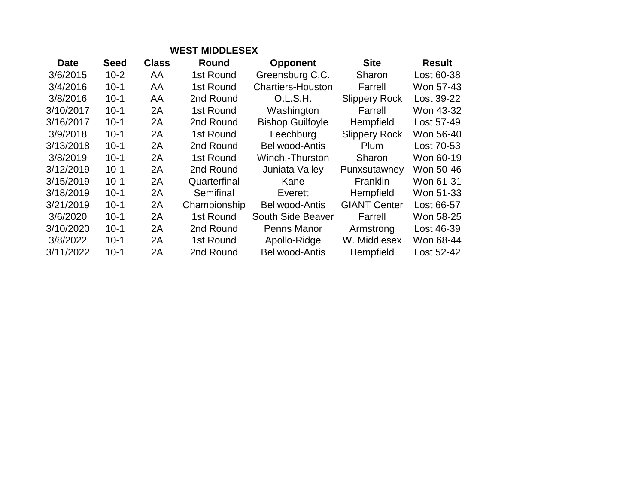| <b>WEST MIDDLESEX</b> |             |              |              |                          |                      |               |  |
|-----------------------|-------------|--------------|--------------|--------------------------|----------------------|---------------|--|
| <b>Date</b>           | <b>Seed</b> | <b>Class</b> | Round        | <b>Opponent</b>          | <b>Site</b>          | <b>Result</b> |  |
| 3/6/2015              | $10 - 2$    | AA           | 1st Round    | Greensburg C.C.          | Sharon               | Lost 60-38    |  |
| 3/4/2016              | $10 - 1$    | AA           | 1st Round    | <b>Chartiers-Houston</b> | Farrell              | Won 57-43     |  |
| 3/8/2016              | $10 - 1$    | AA           | 2nd Round    | O.L.S.H.                 | <b>Slippery Rock</b> | Lost 39-22    |  |
| 3/10/2017             | $10 - 1$    | 2A           | 1st Round    | Washington               | Farrell              | Won 43-32     |  |
| 3/16/2017             | $10 - 1$    | 2A           | 2nd Round    | <b>Bishop Guilfoyle</b>  | Hempfield            | Lost 57-49    |  |
| 3/9/2018              | $10-1$      | 2A           | 1st Round    | Leechburg                | <b>Slippery Rock</b> | Won 56-40     |  |
| 3/13/2018             | $10-1$      | 2A           | 2nd Round    | Bellwood-Antis           | Plum                 | Lost 70-53    |  |
| 3/8/2019              | $10-1$      | 2A           | 1st Round    | Winch.-Thurston          | Sharon               | Won 60-19     |  |
| 3/12/2019             | $10 - 1$    | 2A           | 2nd Round    | Juniata Valley           | Punxsutawney         | Won 50-46     |  |
| 3/15/2019             | $10 - 1$    | 2A           | Quarterfinal | Kane                     | <b>Franklin</b>      | Won 61-31     |  |
| 3/18/2019             | $10 - 1$    | 2A           | Semifinal    | Everett                  | <b>Hempfield</b>     | Won 51-33     |  |
| 3/21/2019             | $10-1$      | 2A           | Championship | Bellwood-Antis           | <b>GIANT Center</b>  | Lost 66-57    |  |
| 3/6/2020              | $10 - 1$    | 2A           | 1st Round    | South Side Beaver        | Farrell              | Won 58-25     |  |
| 3/10/2020             | $10 - 1$    | 2A           | 2nd Round    | Penns Manor              | Armstrong            | Lost 46-39    |  |
| 3/8/2022              | $10 - 1$    | 2A           | 1st Round    | Apollo-Ridge             | W. Middlesex         | Won 68-44     |  |
| 3/11/2022             | $10 - 1$    | 2A           | 2nd Round    | <b>Bellwood-Antis</b>    | Hempfield            | Lost 52-42    |  |